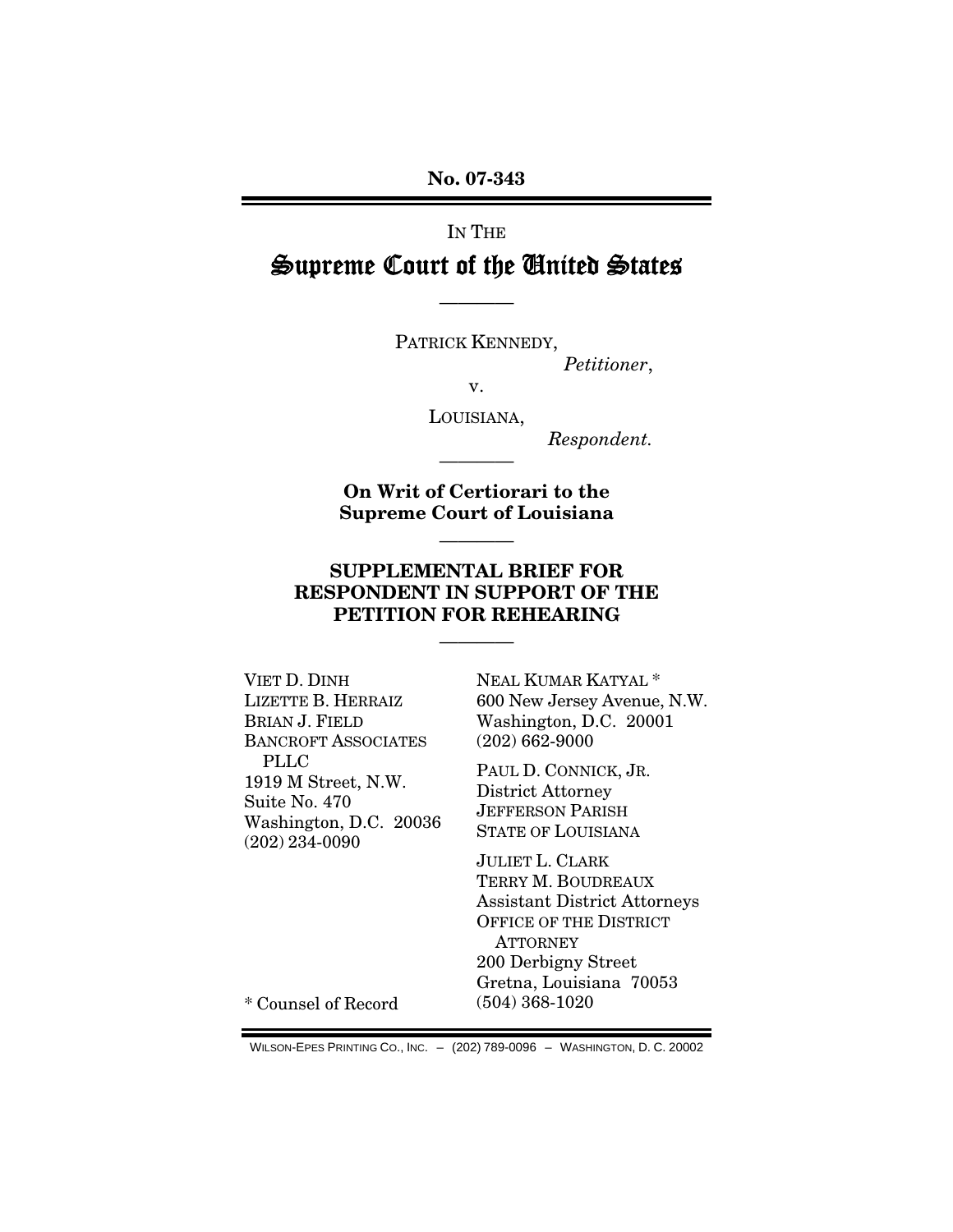**No. 07-343** 

# IN THE

# Supreme Court of the United States

————

PATRICK KENNEDY,

*Petitioner*,

v.

LOUISIANA,

*Respondent.*

**On Writ of Certiorari to the Supreme Court of Louisiana** 

————

————

## **SUPPLEMENTAL BRIEF FOR RESPONDENT IN SUPPORT OF THE PETITION FOR REHEARING**

————

VIET D. DINH LIZETTE B. HERRAIZ BRIAN J. FIELD BANCROFT ASSOCIATES PLLC 1919 M Street, N.W. Suite No. 470 Washington, D.C. 20036 (202) 234-0090

NEAL KUMAR KATYAL \* 600 New Jersey Avenue, N.W. Washington, D.C. 20001 (202) 662-9000

PAUL D. CONNICK, JR. District Attorney JEFFERSON PARISH STATE OF LOUISIANA

JULIET L. CLARK TERRY M. BOUDREAUX Assistant District Attorneys OFFICE OF THE DISTRICT **ATTORNEY** 200 Derbigny Street Gretna, Louisiana 70053 (504) 368-1020

\* Counsel of Record

WILSON-EPES PRINTING CO., INC. – (202) 789-0096 – WASHINGTON, D. C. 20002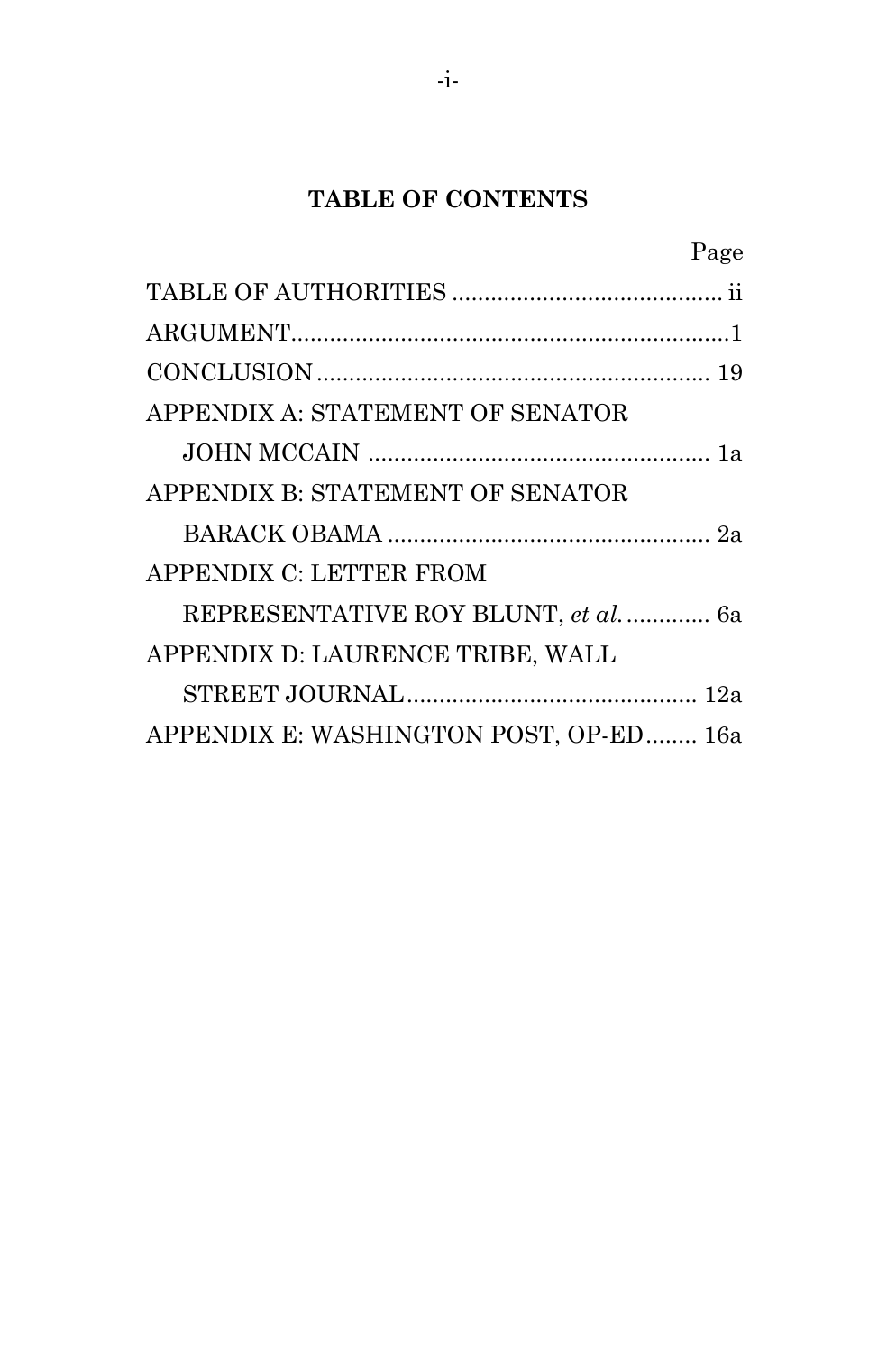# **TABLE OF CONTENTS**

|                                        | Page |
|----------------------------------------|------|
|                                        |      |
|                                        |      |
|                                        |      |
| APPENDIX A: STATEMENT OF SENATOR       |      |
|                                        |      |
| APPENDIX B: STATEMENT OF SENATOR       |      |
|                                        |      |
| APPENDIX C: LETTER FROM                |      |
| REPRESENTATIVE ROY BLUNT, et al 6a     |      |
| APPENDIX D: LAURENCE TRIBE, WALL       |      |
|                                        |      |
| APPENDIX E: WASHINGTON POST, OP-ED 16a |      |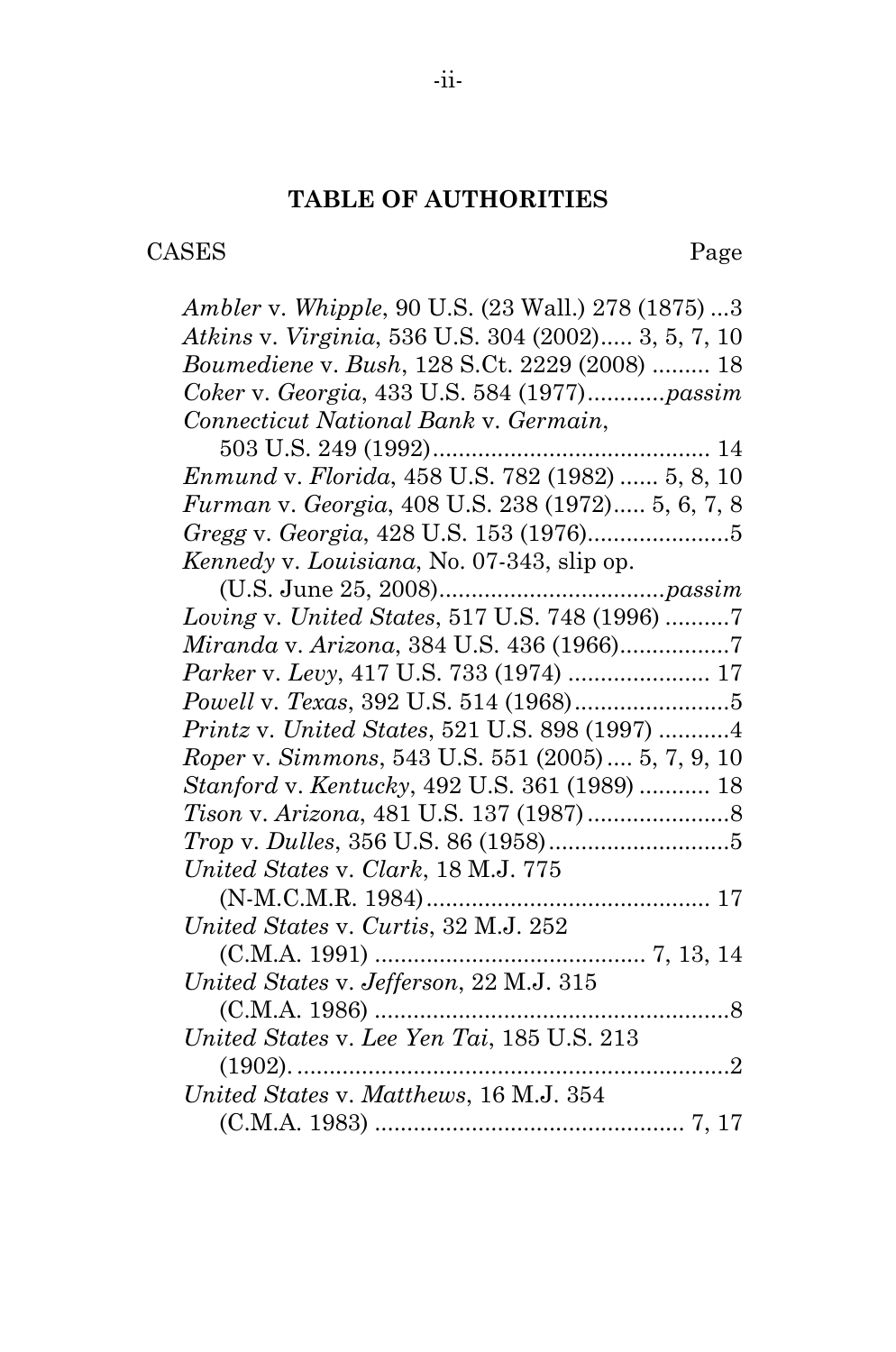#### **TABLE OF AUTHORITIES**

CASES Page

*Ambler* v. *Whipple*, 90 U.S. (23 Wall.) 278 (1875) ...3 *Atkins* v. *Virginia*, 536 U.S. 304 (2002)..... 3, 5, 7, 10 *Boumediene* v. *Bush*, 128 S.Ct. 2229 (2008) ......... 18 *Coker* v. *Georgia*, 433 U.S. 584 (1977)............*passim Connecticut National Bank* v. *Germain*, 503 U.S. 249 (1992)........................................... 14 *Enmund* v. *Florida*, 458 U.S. 782 (1982) ...... 5, 8, 10 *Furman* v. *Georgia*, 408 U.S. 238 (1972)..... 5, 6, 7, 8 *Gregg* v. *Georgia*, 428 U.S. 153 (1976)......................5 *Kennedy* v. *Louisiana*, No. 07-343, slip op. (U.S. June 25, 2008)...................................*passim Loving* v. *United States*, 517 U.S. 748 (1996) ..........7 *Miranda* v. *Arizona*, 384 U.S. 436 (1966).................7 *Parker* v. *Levy*, 417 U.S. 733 (1974) ...................... 17 *Powell* v. *Texas*, 392 U.S. 514 (1968)........................5 *Printz* v. *United States*, 521 U.S. 898 (1997) ...........4 *Roper* v. *Simmons*, 543 U.S. 551 (2005).... 5, 7, 9, 10 *Stanford* v. *Kentucky*, 492 U.S. 361 (1989) ........... 18 *Tison* v. *Arizona*, 481 U.S. 137 (1987)......................8 *Trop* v. *Dulles*, 356 U.S. 86 (1958)............................5 *United States* v. *Clark*, 18 M.J. 775 (N-M.C.M.R. 1984)............................................ 17 *United States* v. *Curtis*, 32 M.J. 252 (C.M.A. 1991) .......................................... 7, 13, 14 *United States* v. *Jefferson*, 22 M.J. 315 (C.M.A. 1986) .......................................................8 *United States* v. *Lee Yen Tai*, 185 U.S. 213 (1902). ...................................................................2 *United States* v. *Matthews*, 16 M.J. 354 (C.M.A. 1983) ................................................ 7, 17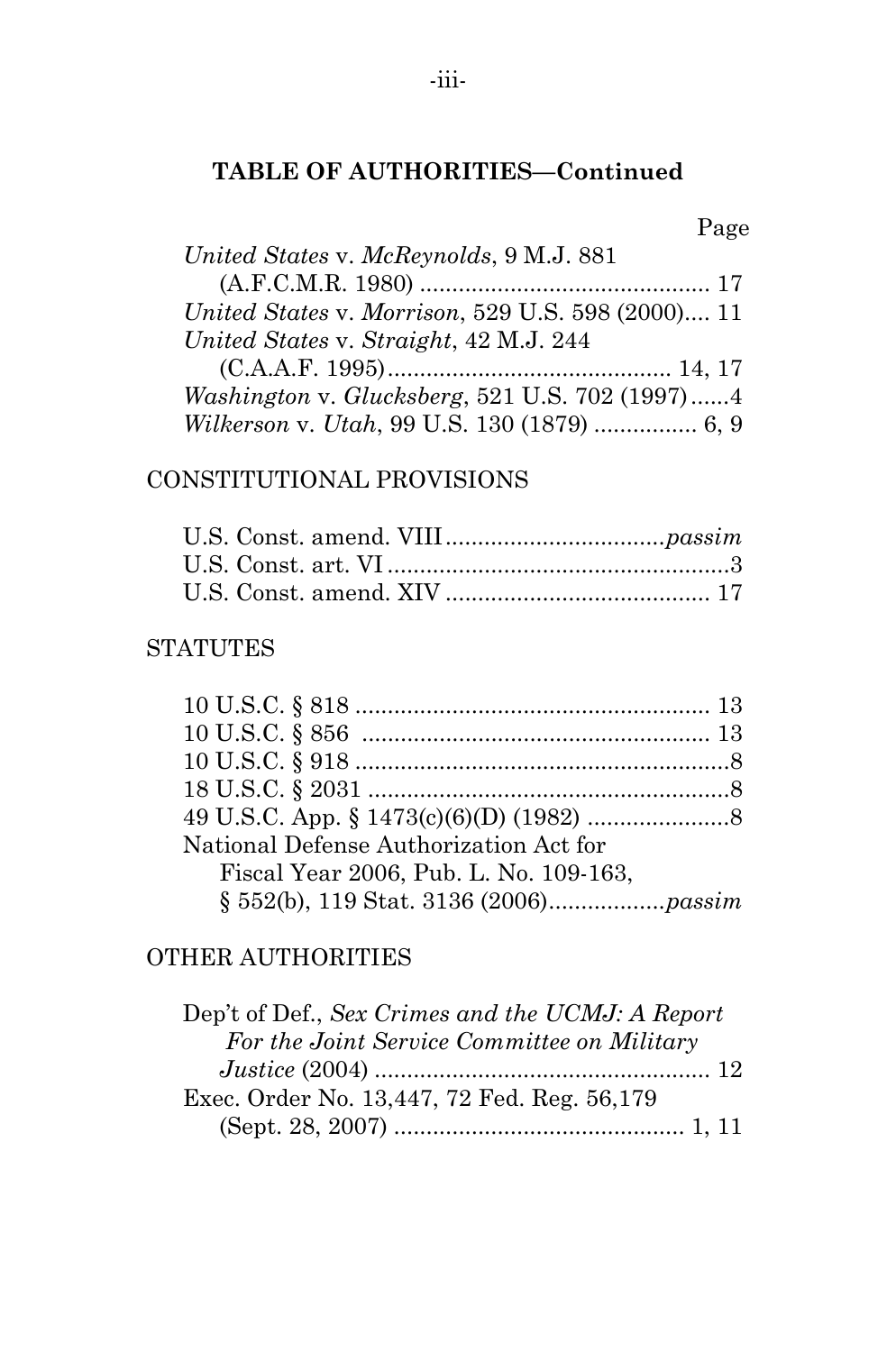# **TABLE OF AUTHORITIES—Continued**

|                                                   | Page |
|---------------------------------------------------|------|
| United States v. McReynolds, 9 M.J. 881           |      |
|                                                   |      |
| United States v. Morrison, 529 U.S. 598 (2000) 11 |      |
| United States v. Straight, 42 M.J. 244            |      |
|                                                   |      |
| Washington v. Glucksberg, 521 U.S. 702 (1997)4    |      |
| Wilkerson v. Utah, 99 U.S. 130 (1879)  6, 9       |      |

# CONSTITUTIONAL PROVISIONS

### **STATUTES**

| National Defense Authorization Act for |  |
|----------------------------------------|--|
| Fiscal Year 2006, Pub. L. No. 109-163, |  |
|                                        |  |

# OTHER AUTHORITIES

| Dep't of Def., Sex Crimes and the UCMJ: A Report |
|--------------------------------------------------|
| For the Joint Service Committee on Military      |
|                                                  |
| Exec. Order No. 13,447, 72 Fed. Reg. 56,179      |
|                                                  |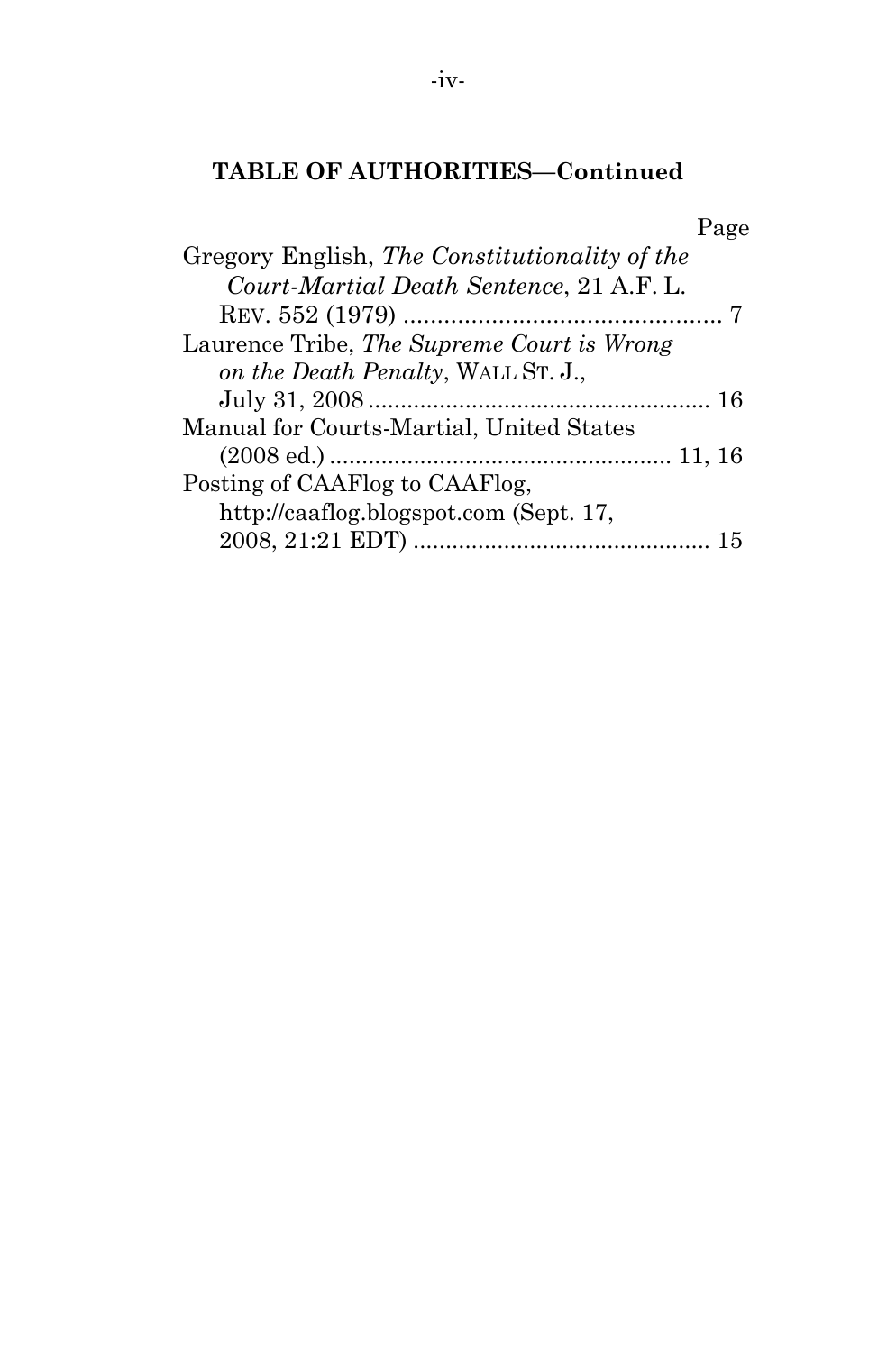# **TABLE OF AUTHORITIES—Continued**

| Page                                          |
|-----------------------------------------------|
| Gregory English, The Constitutionality of the |
| Court-Martial Death Sentence, 21 A.F. L.      |
|                                               |
| Laurence Tribe, The Supreme Court is Wrong    |
| on the Death Penalty, WALL ST. J.,            |
| -16                                           |
| Manual for Courts-Martial, United States      |
|                                               |
| Posting of CAAFlog to CAAFlog,                |
| http://caaflog.blogspot.com (Sept. 17,        |
| -15                                           |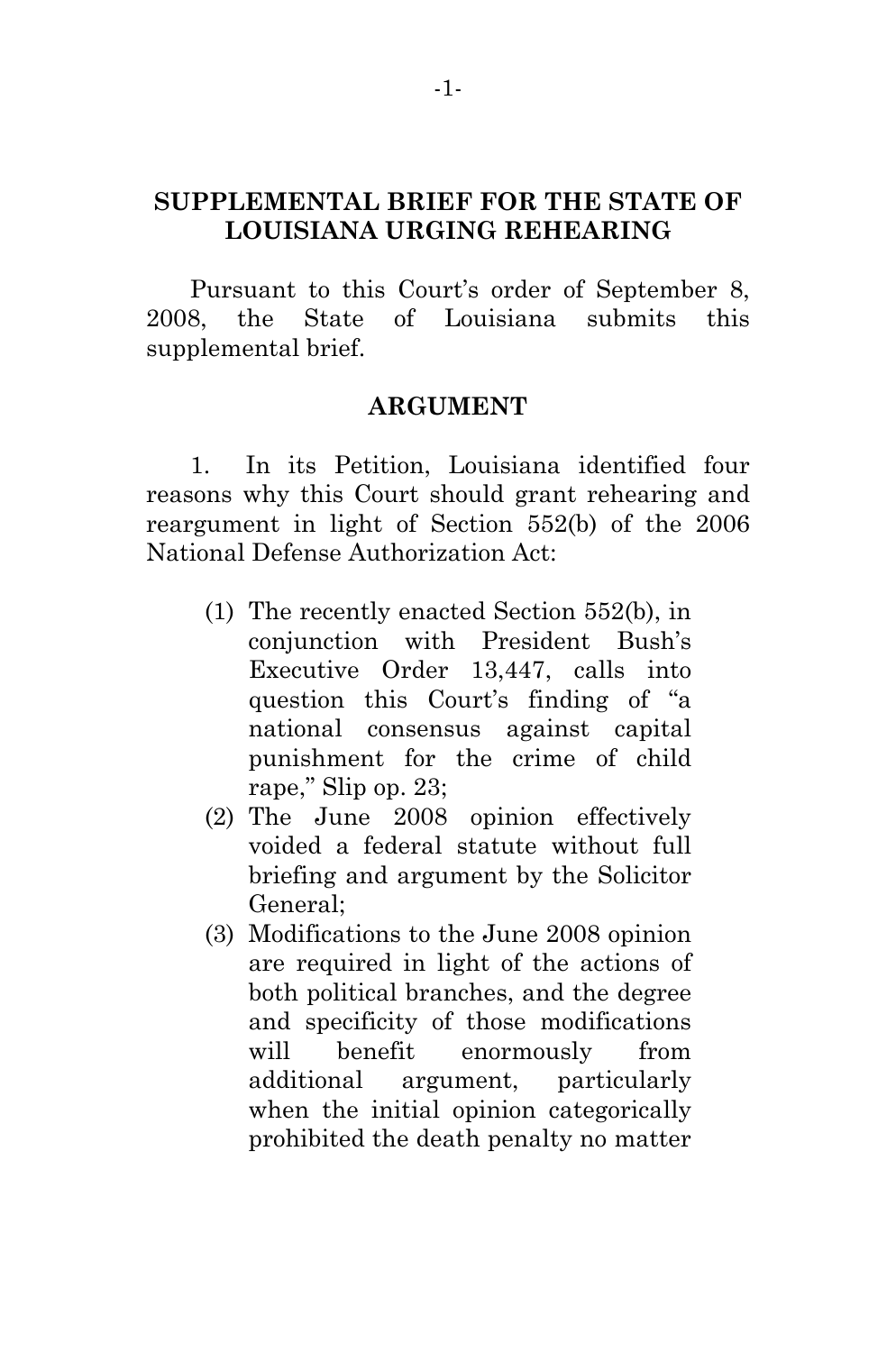# **SUPPLEMENTAL BRIEF FOR THE STATE OF LOUISIANA URGING REHEARING**

Pursuant to this Court's order of September 8, 2008, the State of Louisiana submits this supplemental brief.

### **ARGUMENT**

1. In its Petition, Louisiana identified four reasons why this Court should grant rehearing and reargument in light of Section 552(b) of the 2006 National Defense Authorization Act:

- (1) The recently enacted Section 552(b), in conjunction with President Bush's Executive Order 13,447, calls into question this Court's finding of "a national consensus against capital punishment for the crime of child rape," Slip op. 23;
- (2) The June 2008 opinion effectively voided a federal statute without full briefing and argument by the Solicitor General;
- (3) Modifications to the June 2008 opinion are required in light of the actions of both political branches, and the degree and specificity of those modifications will benefit enormously from additional argument, particularly when the initial opinion categorically prohibited the death penalty no matter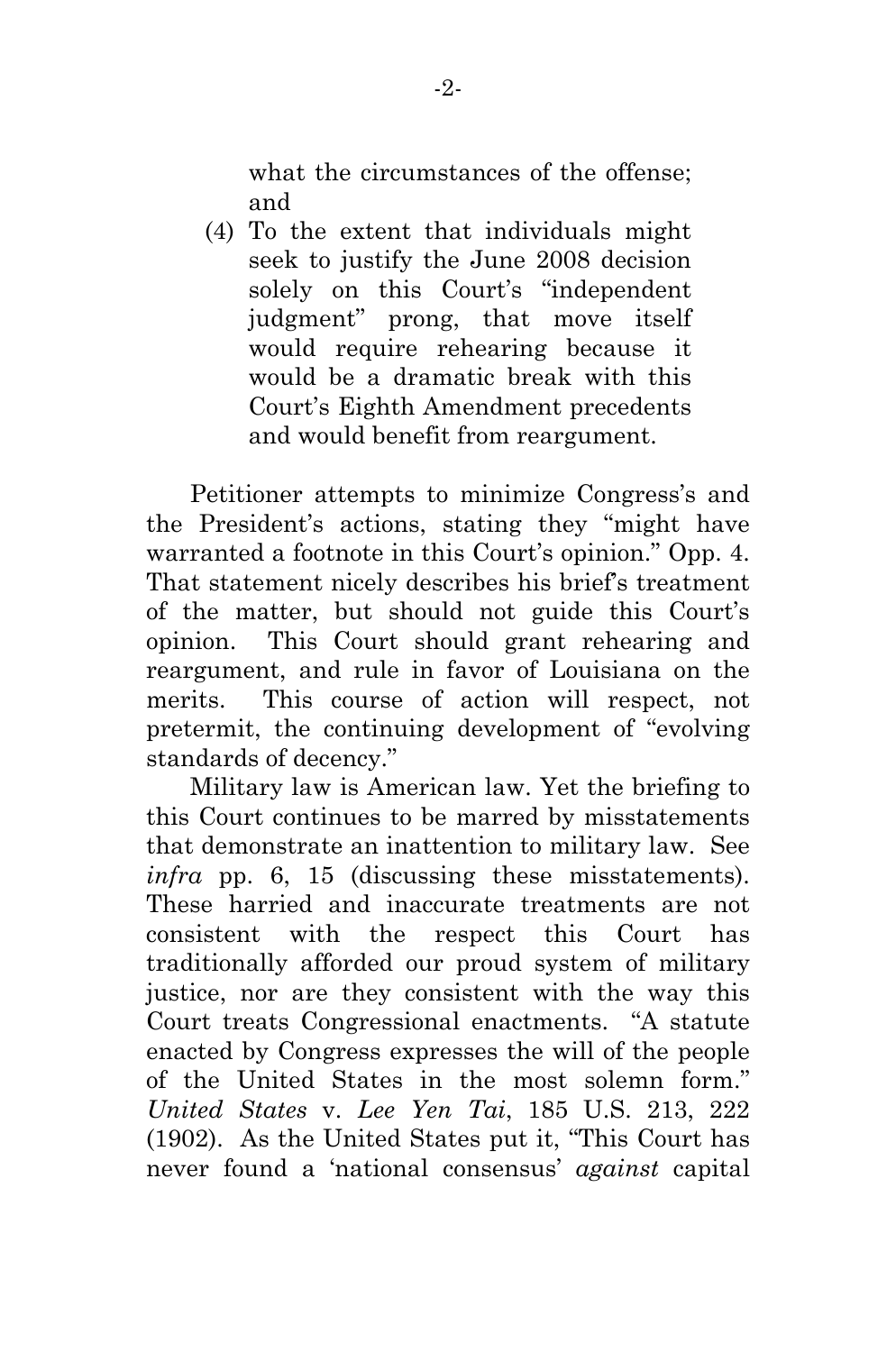what the circumstances of the offense; and

(4) To the extent that individuals might seek to justify the June 2008 decision solely on this Court's "independent judgment" prong, that move itself would require rehearing because it would be a dramatic break with this Court's Eighth Amendment precedents and would benefit from reargument.

Petitioner attempts to minimize Congress's and the President's actions, stating they "might have warranted a footnote in this Court's opinion." Opp. 4. That statement nicely describes his brief's treatment of the matter, but should not guide this Court's opinion. This Court should grant rehearing and reargument, and rule in favor of Louisiana on the merits. This course of action will respect, not pretermit, the continuing development of "evolving standards of decency."

Military law is American law. Yet the briefing to this Court continues to be marred by misstatements that demonstrate an inattention to military law. See *infra* pp. 6, 15 (discussing these misstatements). These harried and inaccurate treatments are not consistent with the respect this Court has traditionally afforded our proud system of military justice, nor are they consistent with the way this Court treats Congressional enactments. "A statute enacted by Congress expresses the will of the people of the United States in the most solemn form." *United States* v. *Lee Yen Tai*, 185 U.S. 213, 222 (1902). As the United States put it, "This Court has never found a 'national consensus' *against* capital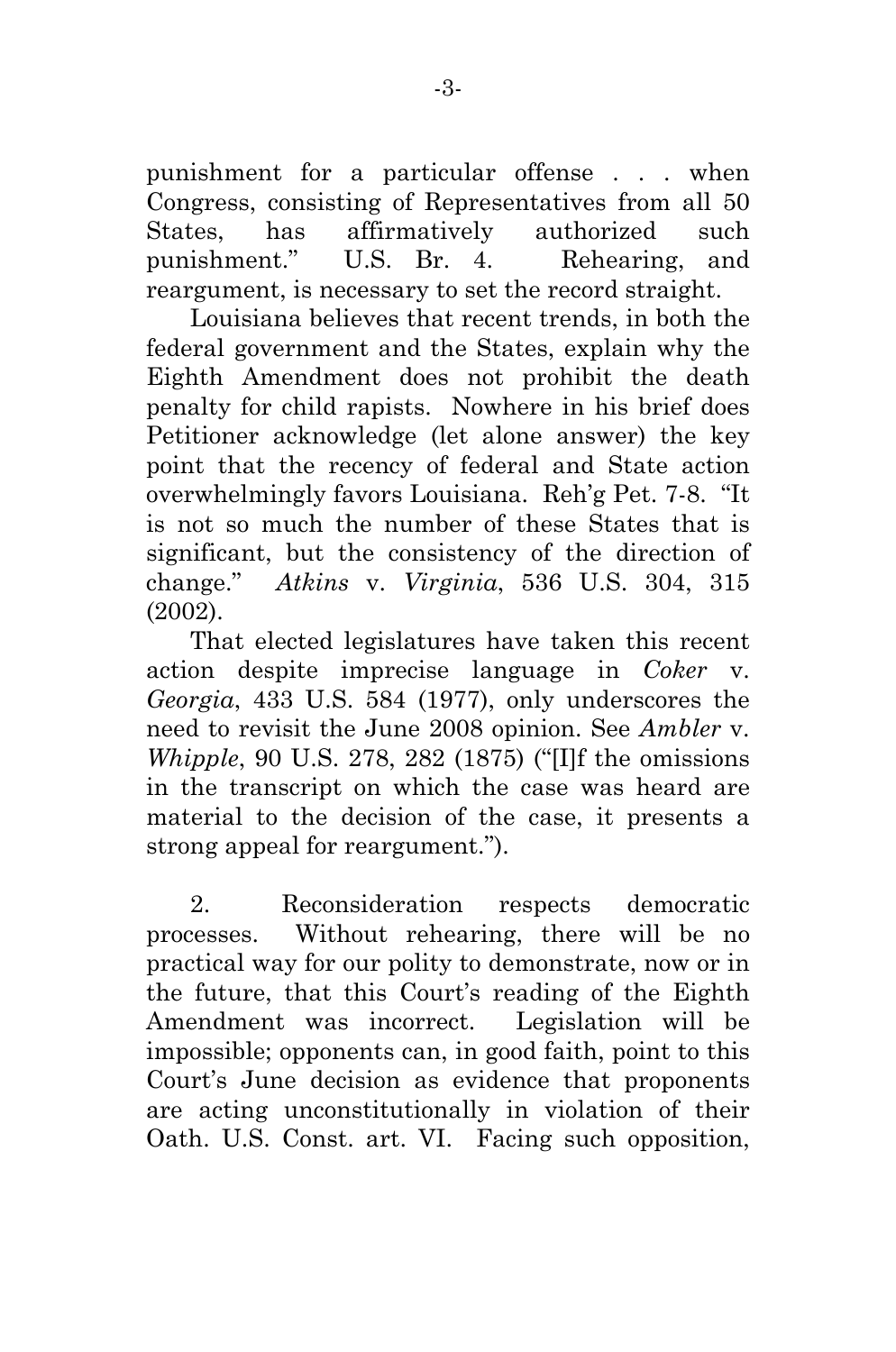punishment for a particular offense . . . when Congress, consisting of Representatives from all 50 States, has affirmatively authorized such punishment." U.S. Br. 4. Rehearing, and reargument, is necessary to set the record straight.

Louisiana believes that recent trends, in both the federal government and the States, explain why the Eighth Amendment does not prohibit the death penalty for child rapists. Nowhere in his brief does Petitioner acknowledge (let alone answer) the key point that the recency of federal and State action overwhelmingly favors Louisiana. Reh'g Pet. 7-8. "It is not so much the number of these States that is significant, but the consistency of the direction of change." *Atkins* v. *Virginia*, 536 U.S. 304, 315 (2002).

That elected legislatures have taken this recent action despite imprecise language in *Coker* v. *Georgia*, 433 U.S. 584 (1977), only underscores the need to revisit the June 2008 opinion. See *Ambler* v. *Whipple*, 90 U.S. 278, 282 (1875) ("[I]f the omissions in the transcript on which the case was heard are material to the decision of the case, it presents a strong appeal for reargument.").

2. Reconsideration respects democratic processes. Without rehearing, there will be no practical way for our polity to demonstrate, now or in the future, that this Court's reading of the Eighth Amendment was incorrect. Legislation will be impossible; opponents can, in good faith, point to this Court's June decision as evidence that proponents are acting unconstitutionally in violation of their Oath. U.S. Const. art. VI. Facing such opposition,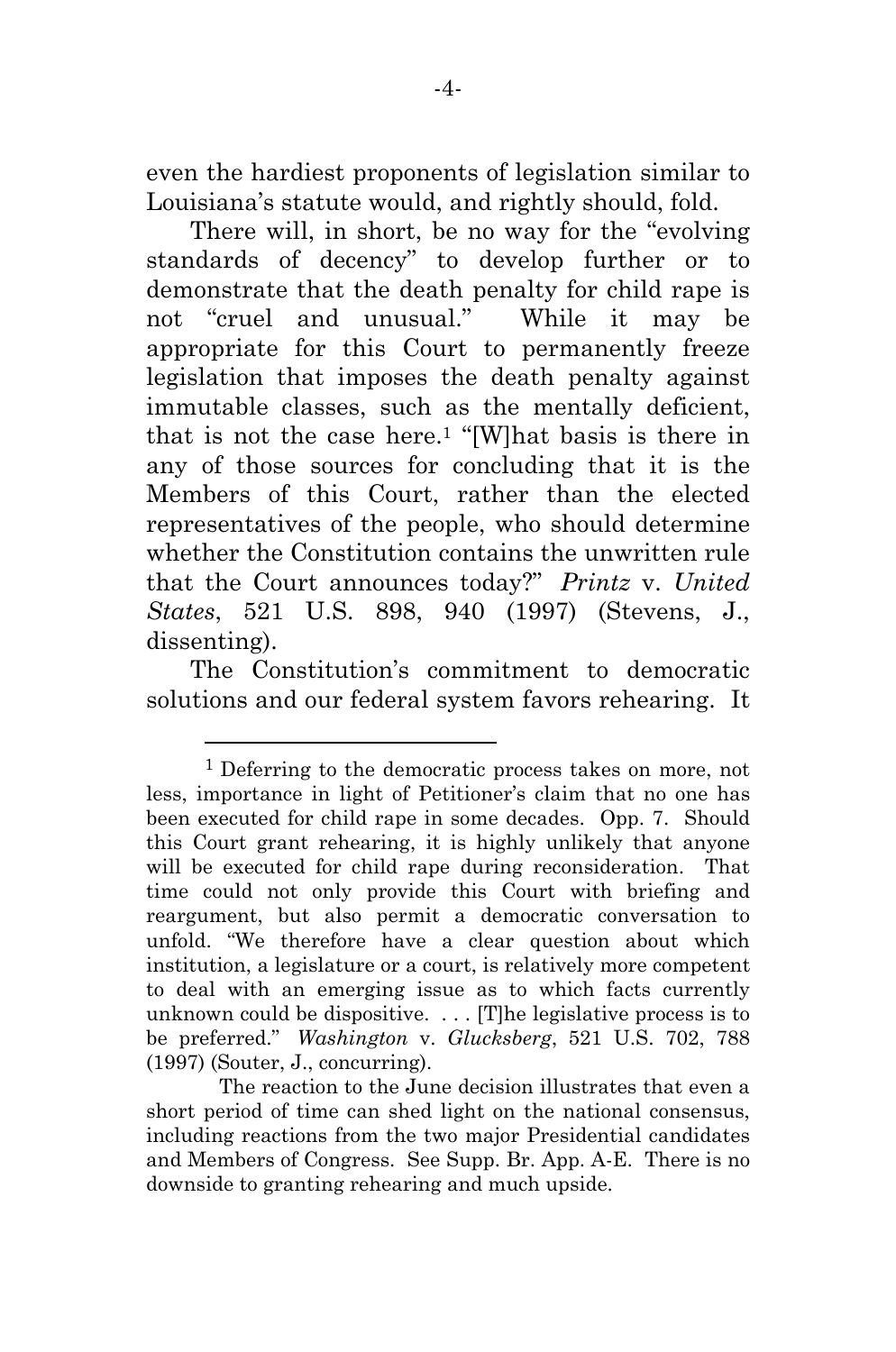even the hardiest proponents of legislation similar to Louisiana's statute would, and rightly should, fold.

There will, in short, be no way for the "evolving standards of decency" to develop further or to demonstrate that the death penalty for child rape is not "cruel and unusual." While it may be appropriate for this Court to permanently freeze legislation that imposes the death penalty against immutable classes, such as the mentally deficient, that is not the case here.1 "[W]hat basis is there in any of those sources for concluding that it is the Members of this Court, rather than the elected representatives of the people, who should determine whether the Constitution contains the unwritten rule that the Court announces today?" *Printz* v. *United States*, 521 U.S. 898, 940 (1997) (Stevens, J., dissenting).

The Constitution's commitment to democratic solutions and our federal system favors rehearing. It

l

<sup>&</sup>lt;sup>1</sup> Deferring to the democratic process takes on more, not less, importance in light of Petitioner's claim that no one has been executed for child rape in some decades. Opp. 7. Should this Court grant rehearing, it is highly unlikely that anyone will be executed for child rape during reconsideration. That time could not only provide this Court with briefing and reargument, but also permit a democratic conversation to unfold. "We therefore have a clear question about which institution, a legislature or a court, is relatively more competent to deal with an emerging issue as to which facts currently unknown could be dispositive. . . . [T]he legislative process is to be preferred." *Washington* v. *Glucksberg*, 521 U.S. 702, 788 (1997) (Souter, J., concurring).

The reaction to the June decision illustrates that even a short period of time can shed light on the national consensus, including reactions from the two major Presidential candidates and Members of Congress. See Supp. Br. App. A-E. There is no downside to granting rehearing and much upside.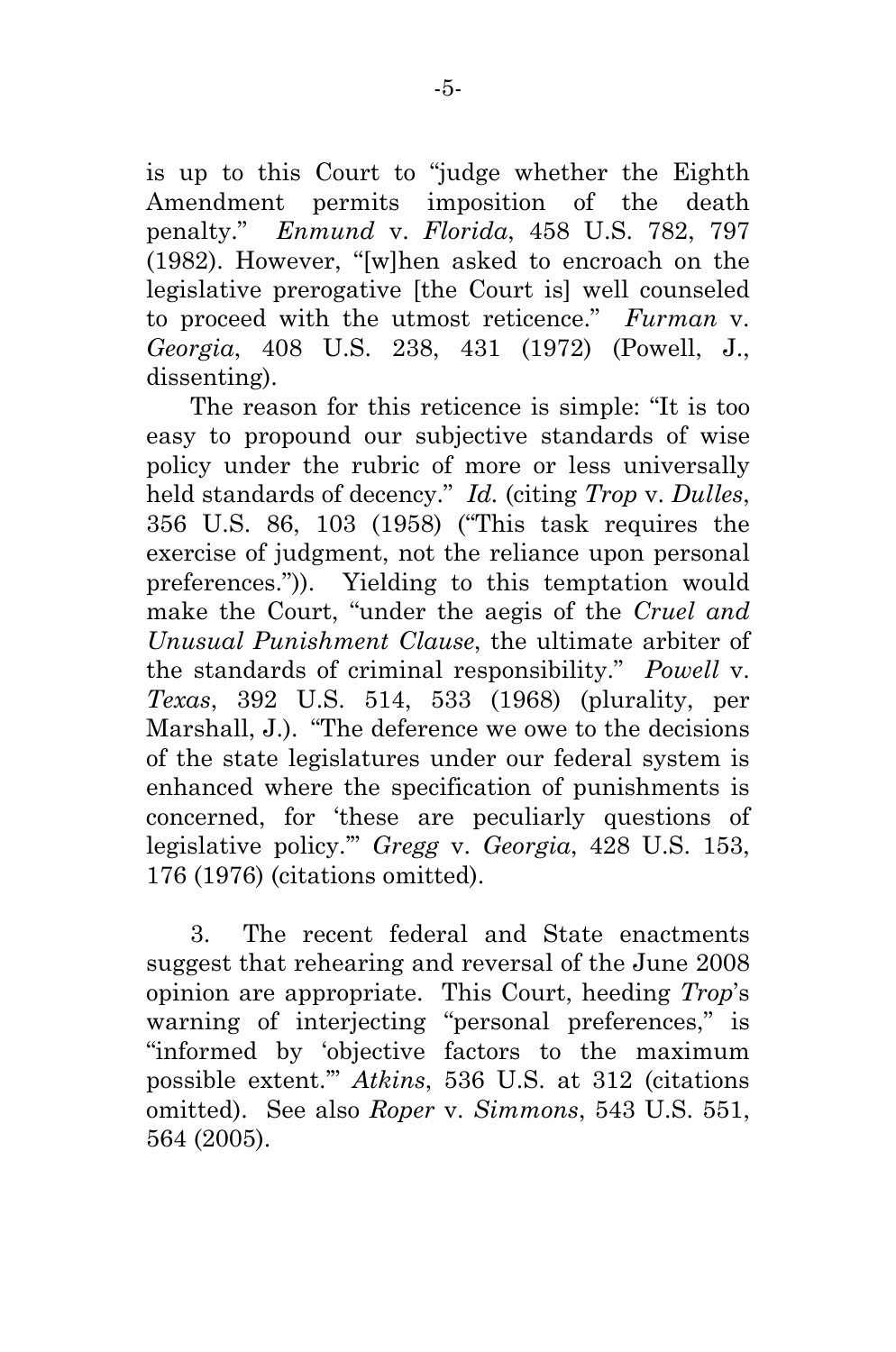is up to this Court to "judge whether the Eighth Amendment permits imposition of the death penalty." *Enmund* v. *Florida*, 458 U.S. 782, 797 (1982). However, "[w]hen asked to encroach on the legislative prerogative [the Court is] well counseled to proceed with the utmost reticence." *Furman* v. *Georgia*, 408 U.S. 238, 431 (1972) (Powell, J., dissenting).

The reason for this reticence is simple: "It is too easy to propound our subjective standards of wise policy under the rubric of more or less universally held standards of decency." *Id.* (citing *Trop* v. *Dulles*, 356 U.S. 86, 103 (1958) ("This task requires the exercise of judgment, not the reliance upon personal preferences.")). Yielding to this temptation would make the Court, "under the aegis of the *Cruel and Unusual Punishment Clause*, the ultimate arbiter of the standards of criminal responsibility." *Powell* v. *Texas*, 392 U.S. 514, 533 (1968) (plurality, per Marshall, J.). "The deference we owe to the decisions of the state legislatures under our federal system is enhanced where the specification of punishments is concerned, for 'these are peculiarly questions of legislative policy.'" *Gregg* v. *Georgia*, 428 U.S. 153, 176 (1976) (citations omitted).

3. The recent federal and State enactments suggest that rehearing and reversal of the June 2008 opinion are appropriate. This Court, heeding *Trop*'s warning of interjecting "personal preferences," is "informed by 'objective factors to the maximum possible extent.'" *Atkins*, 536 U.S. at 312 (citations omitted). See also *Roper* v. *Simmons*, 543 U.S. 551, 564 (2005).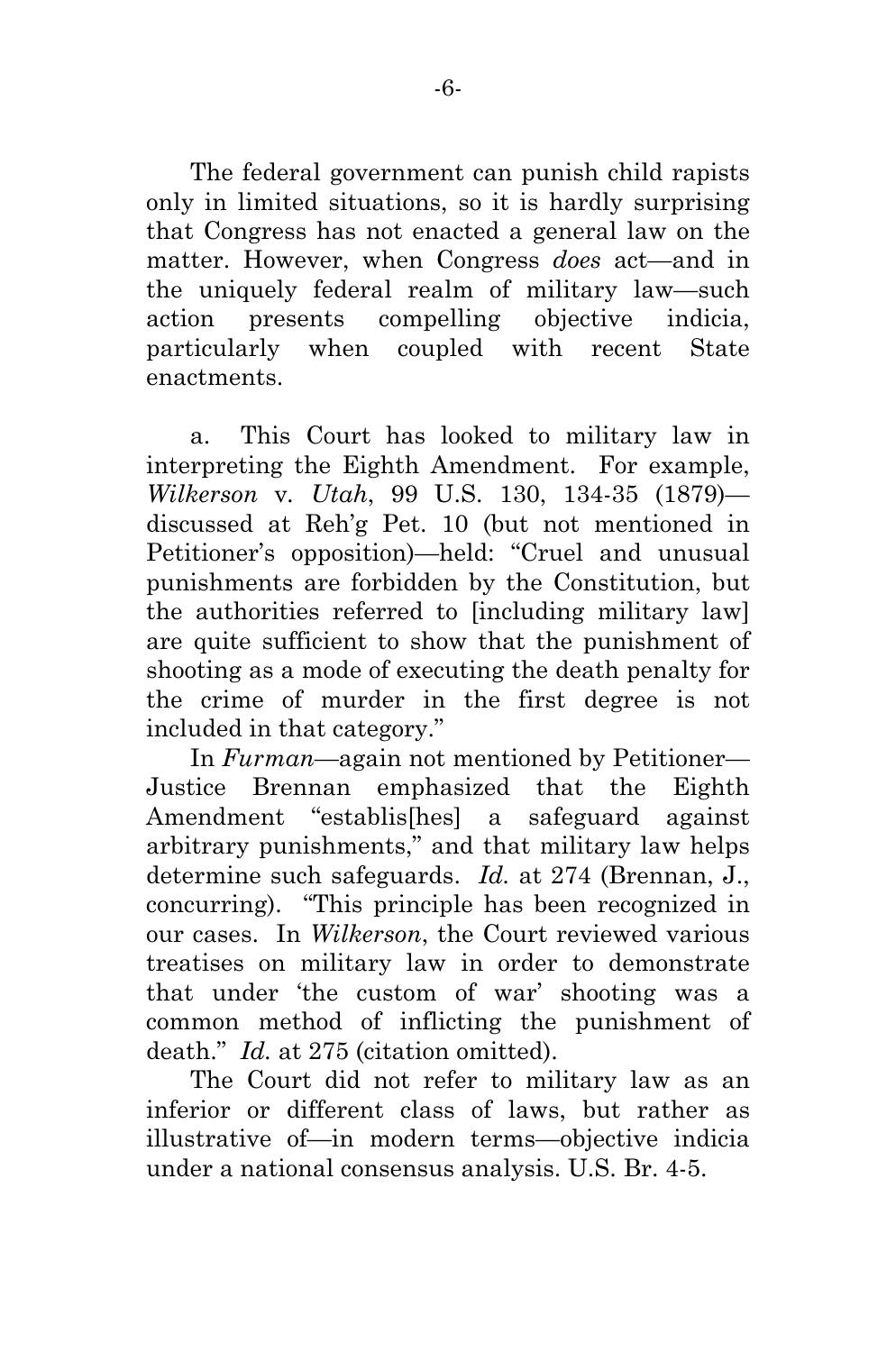The federal government can punish child rapists only in limited situations, so it is hardly surprising that Congress has not enacted a general law on the matter. However, when Congress *does* act—and in the uniquely federal realm of military law—such action presents compelling objective indicia, particularly when coupled with recent State enactments.

a. This Court has looked to military law in interpreting the Eighth Amendment. For example, *Wilkerson* v*. Utah*, 99 U.S. 130, 134-35 (1879) discussed at Reh'g Pet. 10 (but not mentioned in Petitioner's opposition)—held: "Cruel and unusual punishments are forbidden by the Constitution, but the authorities referred to [including military law] are quite sufficient to show that the punishment of shooting as a mode of executing the death penalty for the crime of murder in the first degree is not included in that category."

In *Furman*—again not mentioned by Petitioner— Justice Brennan emphasized that the Eighth Amendment "establis[hes] a safeguard against arbitrary punishments," and that military law helps determine such safeguards. *Id.* at 274 (Brennan, J., concurring). "This principle has been recognized in our cases. In *Wilkerson*, the Court reviewed various treatises on military law in order to demonstrate that under 'the custom of war' shooting was a common method of inflicting the punishment of death." *Id.* at 275 (citation omitted).

The Court did not refer to military law as an inferior or different class of laws, but rather as illustrative of—in modern terms—objective indicia under a national consensus analysis. U.S. Br. 4-5.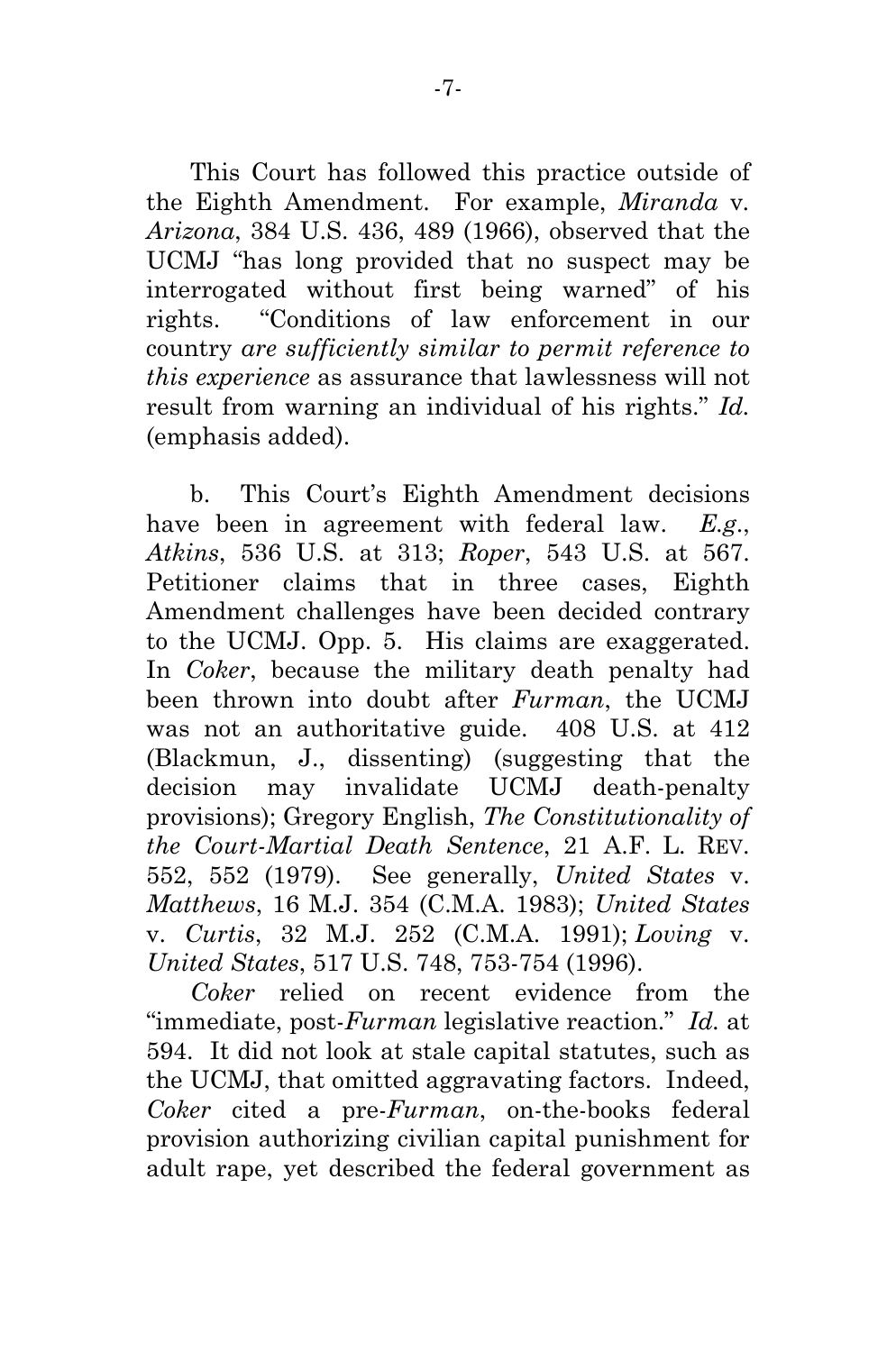This Court has followed this practice outside of the Eighth Amendment. For example, *Miranda* v*. Arizona*, 384 U.S. 436, 489 (1966), observed that the UCMJ "has long provided that no suspect may be interrogated without first being warned" of his rights. "Conditions of law enforcement in our country *are sufficiently similar to permit reference to this experience* as assurance that lawlessness will not result from warning an individual of his rights." *Id.* (emphasis added).

b. This Court's Eighth Amendment decisions have been in agreement with federal law. *E.g*., *Atkins*, 536 U.S. at 313; *Roper*, 543 U.S. at 567. Petitioner claims that in three cases, Eighth Amendment challenges have been decided contrary to the UCMJ. Opp. 5. His claims are exaggerated. In *Coker*, because the military death penalty had been thrown into doubt after *Furman*, the UCMJ was not an authoritative guide. 408 U.S. at 412 (Blackmun, J., dissenting) (suggesting that the decision may invalidate UCMJ death-penalty provisions); Gregory English, *The Constitutionality of the Court-Martial Death Sentence*, 21 A.F. L. REV. 552, 552 (1979). See generally, *United States* v. *Matthews*, 16 M.J. 354 (C.M.A. 1983); *United States*  v. *Curtis*, 32 M.J. 252 (C.M.A. 1991); *Loving* v. *United States*, 517 U.S. 748, 753-754 (1996).

*Coker* relied on recent evidence from the "immediate, post-*Furman* legislative reaction." *Id.* at 594. It did not look at stale capital statutes, such as the UCMJ, that omitted aggravating factors. Indeed, *Coker* cited a pre-*Furman*, on-the-books federal provision authorizing civilian capital punishment for adult rape, yet described the federal government as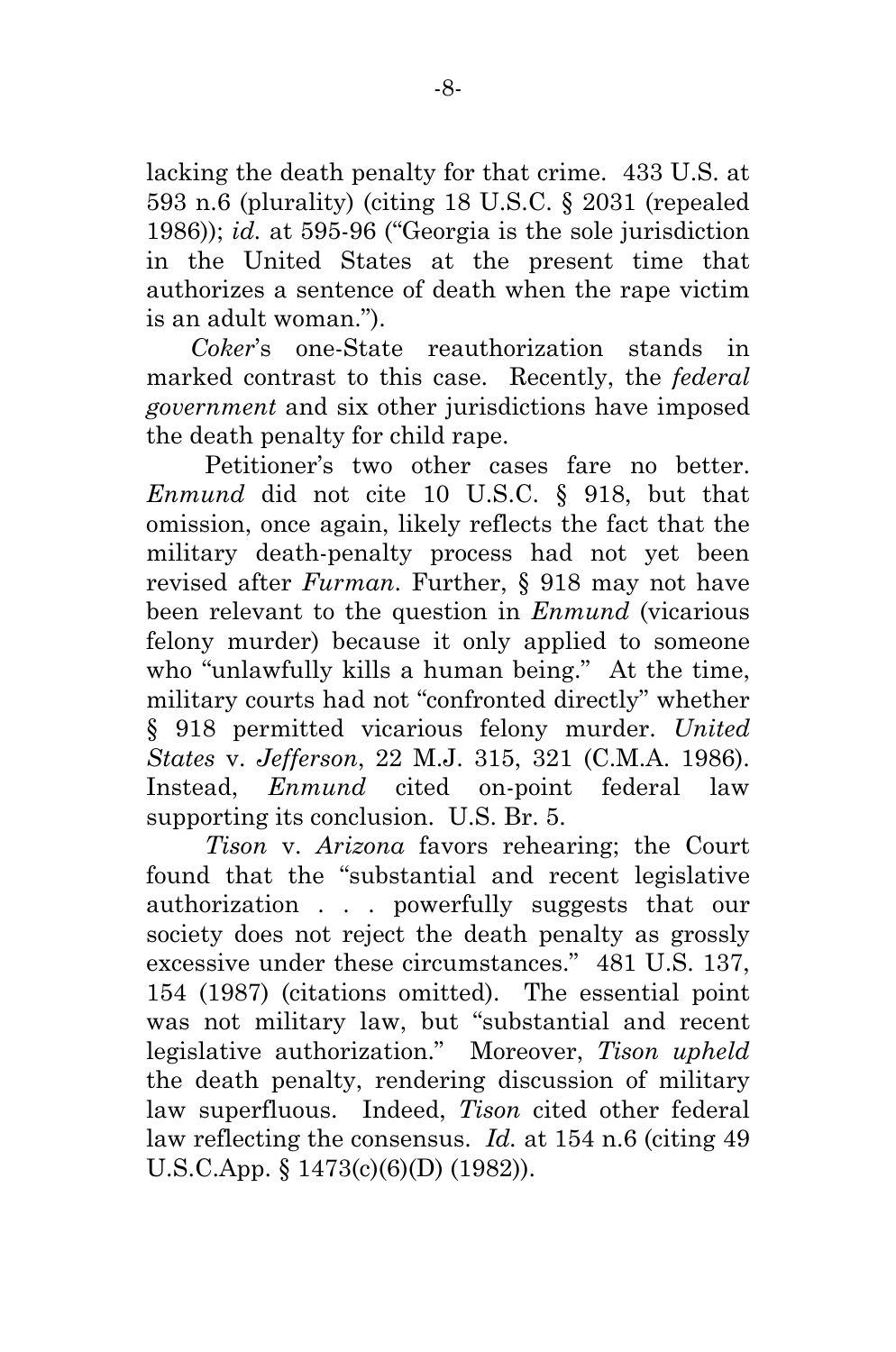lacking the death penalty for that crime. 433 U.S. at 593 n.6 (plurality) (citing 18 U.S.C. § 2031 (repealed 1986)); *id.* at 595-96 ("Georgia is the sole jurisdiction in the United States at the present time that authorizes a sentence of death when the rape victim is an adult woman.").

*Coker*'s one-State reauthorization stands in marked contrast to this case. Recently, the *federal government* and six other jurisdictions have imposed the death penalty for child rape.

Petitioner's two other cases fare no better. *Enmund* did not cite 10 U.S.C. § 918, but that omission, once again, likely reflects the fact that the military death-penalty process had not yet been revised after *Furman*. Further, § 918 may not have been relevant to the question in *Enmund* (vicarious felony murder) because it only applied to someone who "unlawfully kills a human being." At the time, military courts had not "confronted directly" whether § 918 permitted vicarious felony murder. *United States* v. *Jefferson*, 22 M.J. 315, 321 (C.M.A. 1986). Instead, *Enmund* cited on-point federal law supporting its conclusion. U.S. Br. 5.

*Tison* v. *Arizona* favors rehearing; the Court found that the "substantial and recent legislative authorization . . . powerfully suggests that our society does not reject the death penalty as grossly excessive under these circumstances." 481 U.S. 137, 154 (1987) (citations omitted). The essential point was not military law, but "substantial and recent legislative authorization." Moreover, *Tison upheld* the death penalty, rendering discussion of military law superfluous. Indeed, *Tison* cited other federal law reflecting the consensus. *Id.* at 154 n.6 (citing 49 U.S.C.App. § 1473(c)(6)(D) (1982)).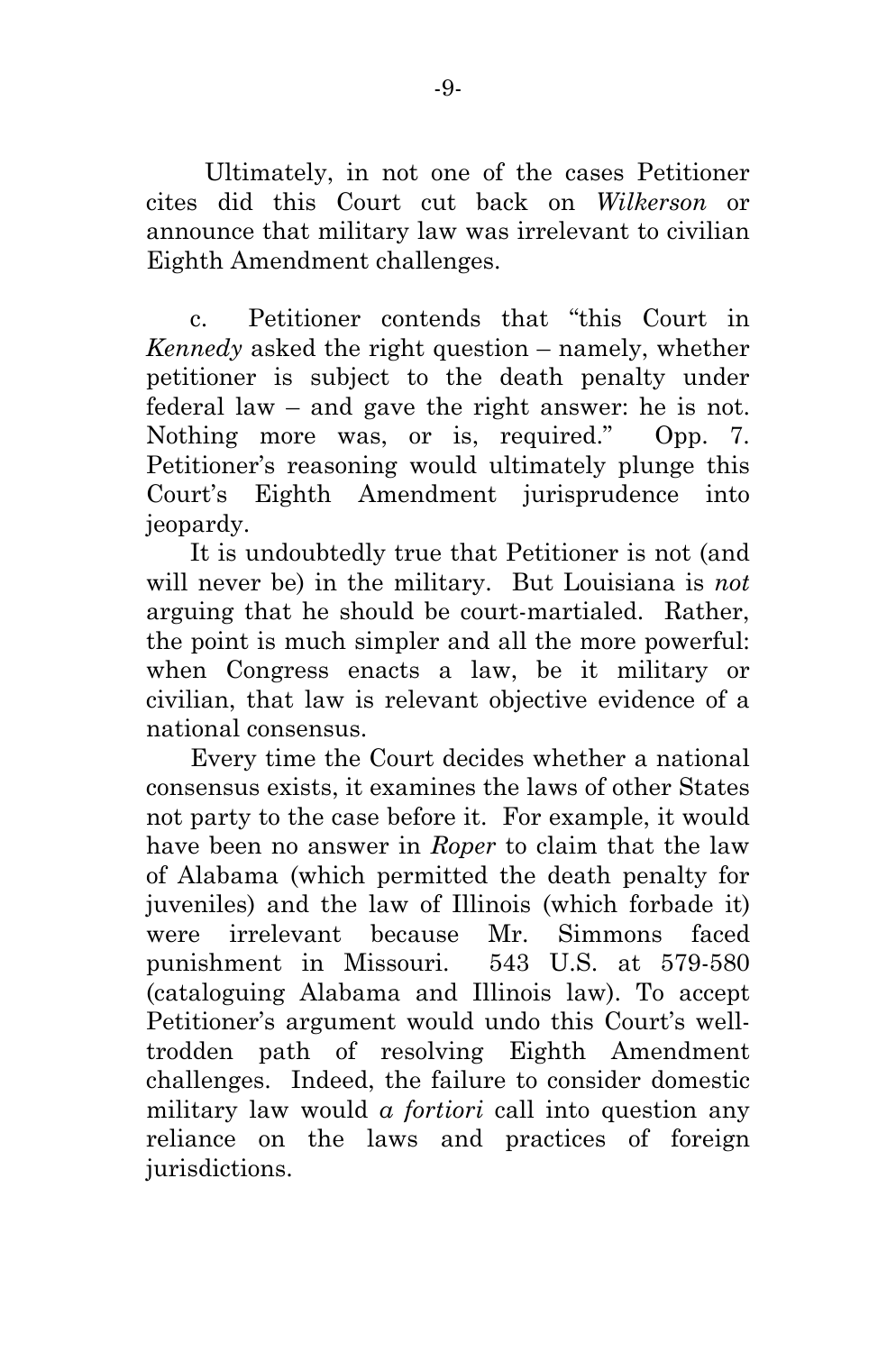Ultimately, in not one of the cases Petitioner cites did this Court cut back on *Wilkerson* or announce that military law was irrelevant to civilian Eighth Amendment challenges.

c. Petitioner contends that "this Court in *Kennedy* asked the right question – namely, whether petitioner is subject to the death penalty under federal law – and gave the right answer: he is not. Nothing more was, or is, required." Opp. 7. Petitioner's reasoning would ultimately plunge this Court's Eighth Amendment jurisprudence into jeopardy.

It is undoubtedly true that Petitioner is not (and will never be) in the military. But Louisiana is *not* arguing that he should be court-martialed. Rather, the point is much simpler and all the more powerful: when Congress enacts a law, be it military or civilian, that law is relevant objective evidence of a national consensus.

Every time the Court decides whether a national consensus exists, it examines the laws of other States not party to the case before it. For example, it would have been no answer in *Roper* to claim that the law of Alabama (which permitted the death penalty for juveniles) and the law of Illinois (which forbade it) were irrelevant because Mr. Simmons faced punishment in Missouri. 543 U.S. at 579-580 (cataloguing Alabama and Illinois law). To accept Petitioner's argument would undo this Court's welltrodden path of resolving Eighth Amendment challenges. Indeed, the failure to consider domestic military law would *a fortiori* call into question any reliance on the laws and practices of foreign jurisdictions.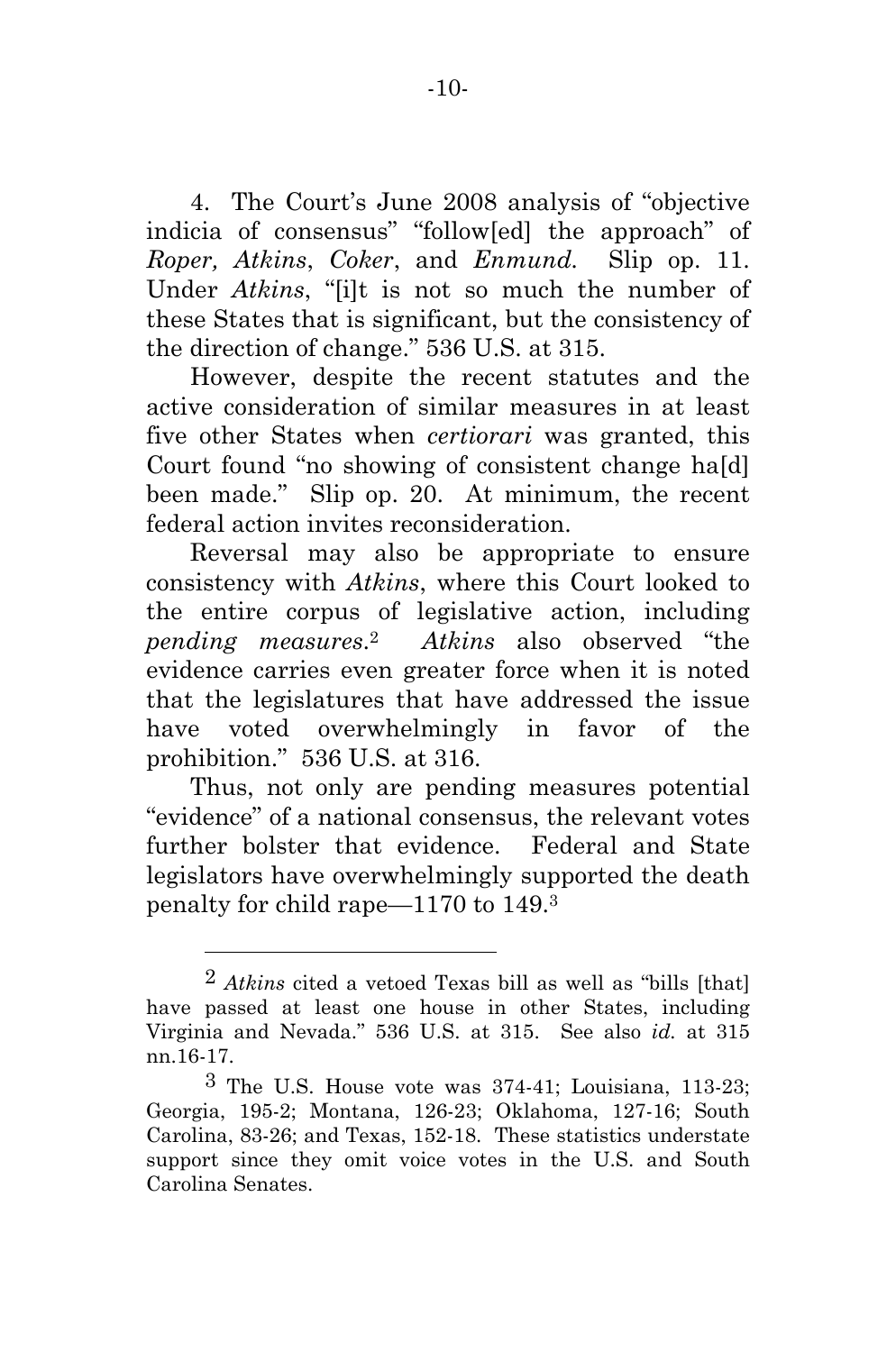4. The Court's June 2008 analysis of "objective indicia of consensus" "follow[ed] the approach" of *Roper, Atkins*, *Coker*, and *Enmund.* Slip op. 11. Under *Atkins*, "[i]t is not so much the number of these States that is significant, but the consistency of the direction of change." 536 U.S. at 315.

However, despite the recent statutes and the active consideration of similar measures in at least five other States when *certiorari* was granted, this Court found "no showing of consistent change ha[d] been made." Slip op. 20. At minimum, the recent federal action invites reconsideration.

Reversal may also be appropriate to ensure consistency with *Atkins*, where this Court looked to the entire corpus of legislative action, including *pending measures*.2 *Atkins* also observed "the evidence carries even greater force when it is noted that the legislatures that have addressed the issue have voted overwhelmingly in favor of the prohibition." 536 U.S. at 316.

Thus, not only are pending measures potential "evidence" of a national consensus, the relevant votes further bolster that evidence. Federal and State legislators have overwhelmingly supported the death penalty for child rape—1170 to 149.3

l

<sup>2</sup> *Atkins* cited a vetoed Texas bill as well as "bills [that] have passed at least one house in other States, including Virginia and Nevada." 536 U.S. at 315. See also *id.* at 315 nn.16-17.

<sup>3</sup> The U.S. House vote was 374-41; Louisiana, 113-23; Georgia, 195-2; Montana, 126-23; Oklahoma, 127-16; South Carolina, 83-26; and Texas, 152-18. These statistics understate support since they omit voice votes in the U.S. and South Carolina Senates.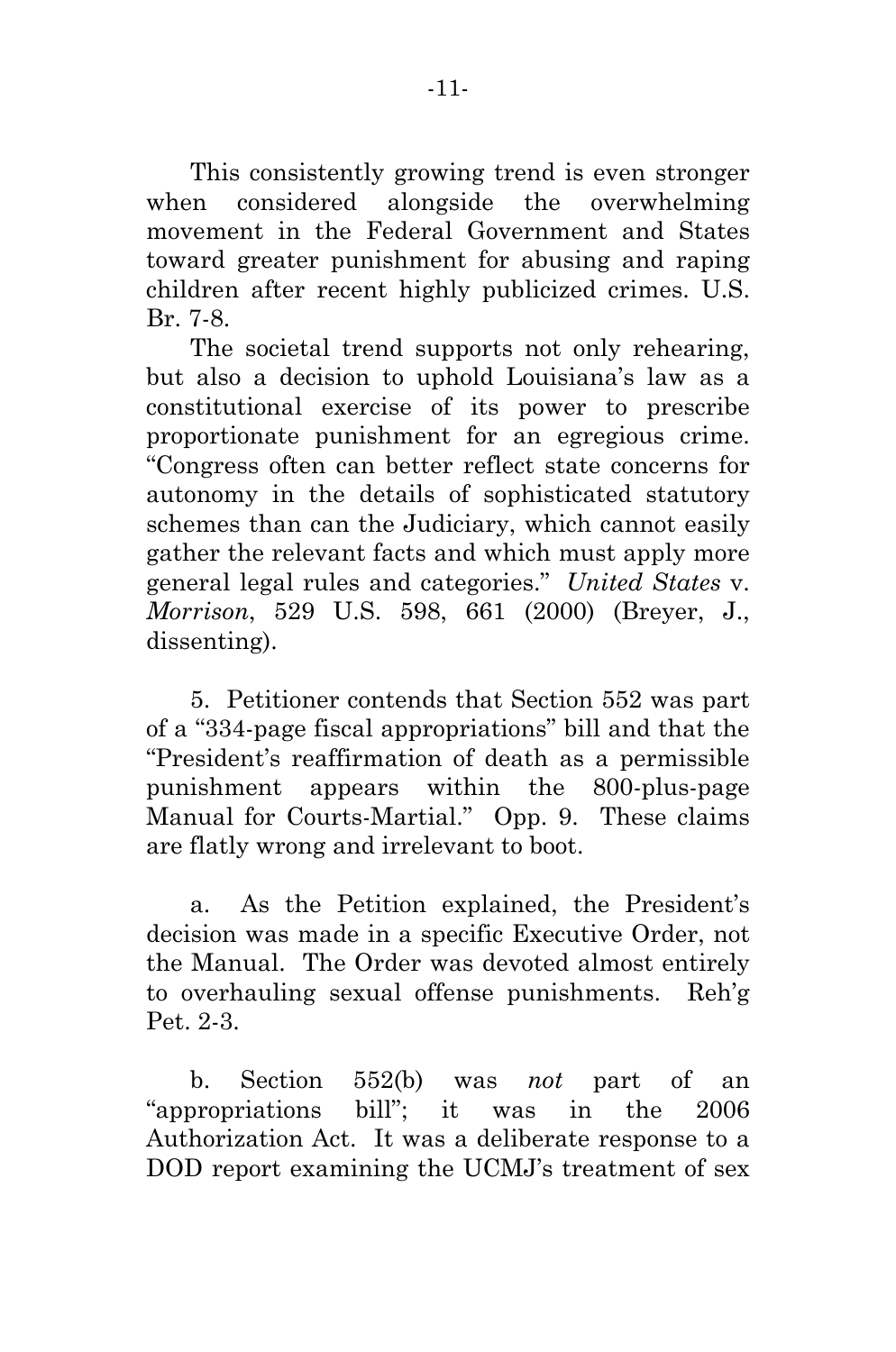This consistently growing trend is even stronger when considered alongside the overwhelming movement in the Federal Government and States toward greater punishment for abusing and raping children after recent highly publicized crimes. U.S. Br. 7-8.

The societal trend supports not only rehearing, but also a decision to uphold Louisiana's law as a constitutional exercise of its power to prescribe proportionate punishment for an egregious crime. "Congress often can better reflect state concerns for autonomy in the details of sophisticated statutory schemes than can the Judiciary, which cannot easily gather the relevant facts and which must apply more general legal rules and categories." *United States* v. *Morrison*, 529 U.S. 598, 661 (2000) (Breyer, J., dissenting).

5. Petitioner contends that Section 552 was part of a "334-page fiscal appropriations" bill and that the "President's reaffirmation of death as a permissible punishment appears within the 800-plus-page Manual for Courts-Martial." Opp. 9. These claims are flatly wrong and irrelevant to boot.

a. As the Petition explained, the President's decision was made in a specific Executive Order, not the Manual. The Order was devoted almost entirely to overhauling sexual offense punishments. Reh'g Pet. 2-3.

b. Section 552(b) was *not* part of an "appropriations bill"; it was in the 2006 Authorization Act. It was a deliberate response to a DOD report examining the UCMJ's treatment of sex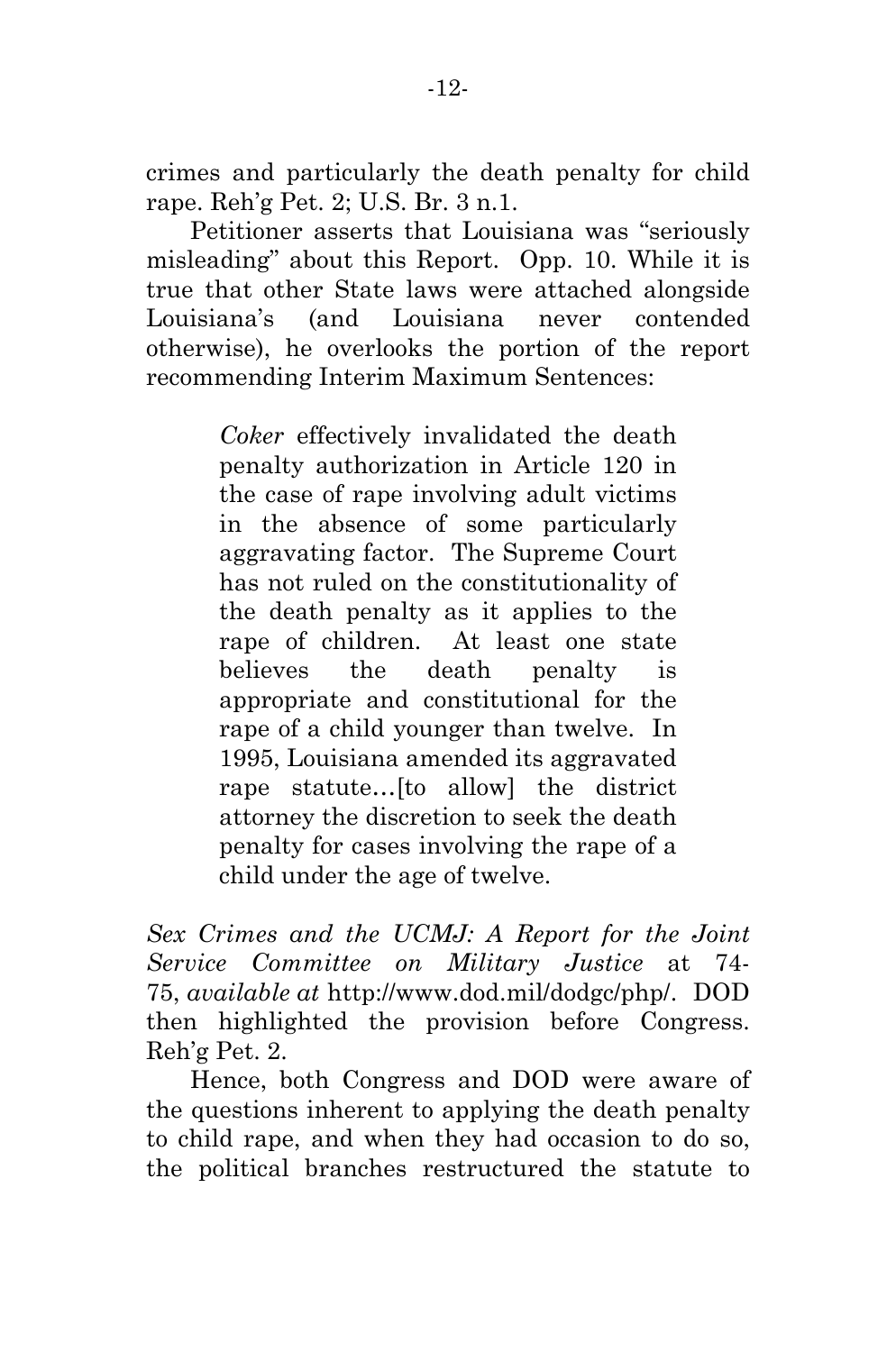crimes and particularly the death penalty for child rape. Reh'g Pet. 2; U.S. Br. 3 n.1.

Petitioner asserts that Louisiana was "seriously misleading" about this Report. Opp. 10. While it is true that other State laws were attached alongside Louisiana's (and Louisiana never contended otherwise), he overlooks the portion of the report recommending Interim Maximum Sentences:

> *Coker* effectively invalidated the death penalty authorization in Article 120 in the case of rape involving adult victims in the absence of some particularly aggravating factor. The Supreme Court has not ruled on the constitutionality of the death penalty as it applies to the rape of children. At least one state believes the death penalty is appropriate and constitutional for the rape of a child younger than twelve. In 1995, Louisiana amended its aggravated rape statute…[to allow] the district attorney the discretion to seek the death penalty for cases involving the rape of a child under the age of twelve.

*Sex Crimes and the UCMJ: A Report for the Joint Service Committee on Military Justice* at 74- 75, *available at* http://www.dod.mil/dodgc/php/. DOD then highlighted the provision before Congress. Reh'g Pet. 2.

Hence, both Congress and DOD were aware of the questions inherent to applying the death penalty to child rape, and when they had occasion to do so, the political branches restructured the statute to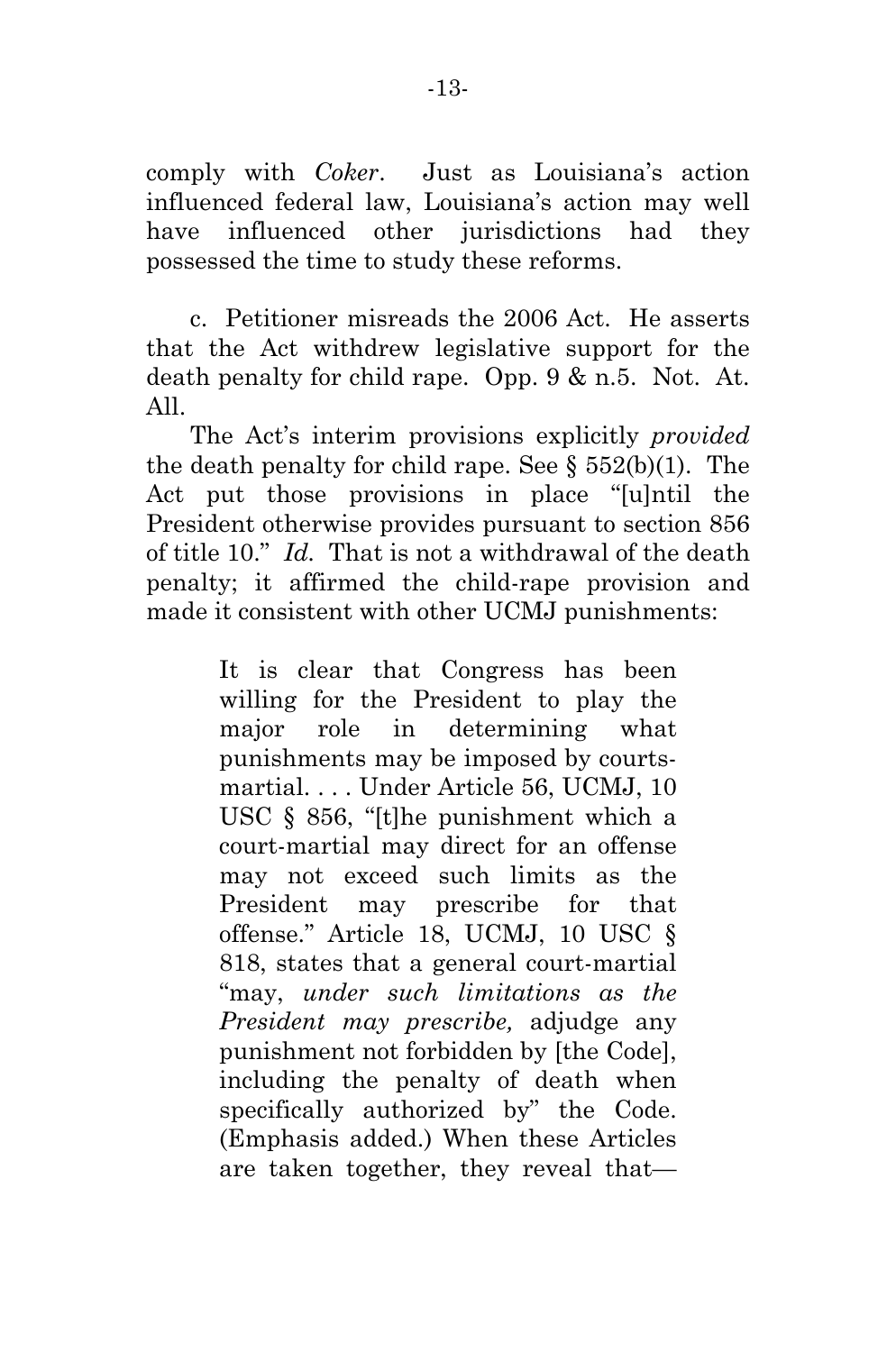comply with *Coker*. Just as Louisiana's action influenced federal law, Louisiana's action may well have influenced other jurisdictions had they possessed the time to study these reforms.

c. Petitioner misreads the 2006 Act. He asserts that the Act withdrew legislative support for the death penalty for child rape. Opp. 9 & n.5. Not. At. All.

The Act's interim provisions explicitly *provided* the death penalty for child rape. See  $\S 552(b)(1)$ . The Act put those provisions in place "[u]ntil the President otherwise provides pursuant to section 856 of title 10." *Id.* That is not a withdrawal of the death penalty; it affirmed the child-rape provision and made it consistent with other UCMJ punishments:

> It is clear that Congress has been willing for the President to play the major role in determining what punishments may be imposed by courtsmartial. . . . Under Article 56, UCMJ, 10 USC § 856, "[t]he punishment which a court-martial may direct for an offense may not exceed such limits as the President may prescribe for that offense." Article 18, UCMJ, 10 USC § 818, states that a general court-martial "may, *under such limitations as the President may prescribe,* adjudge any punishment not forbidden by [the Code], including the penalty of death when specifically authorized by" the Code. (Emphasis added.) When these Articles are taken together, they reveal that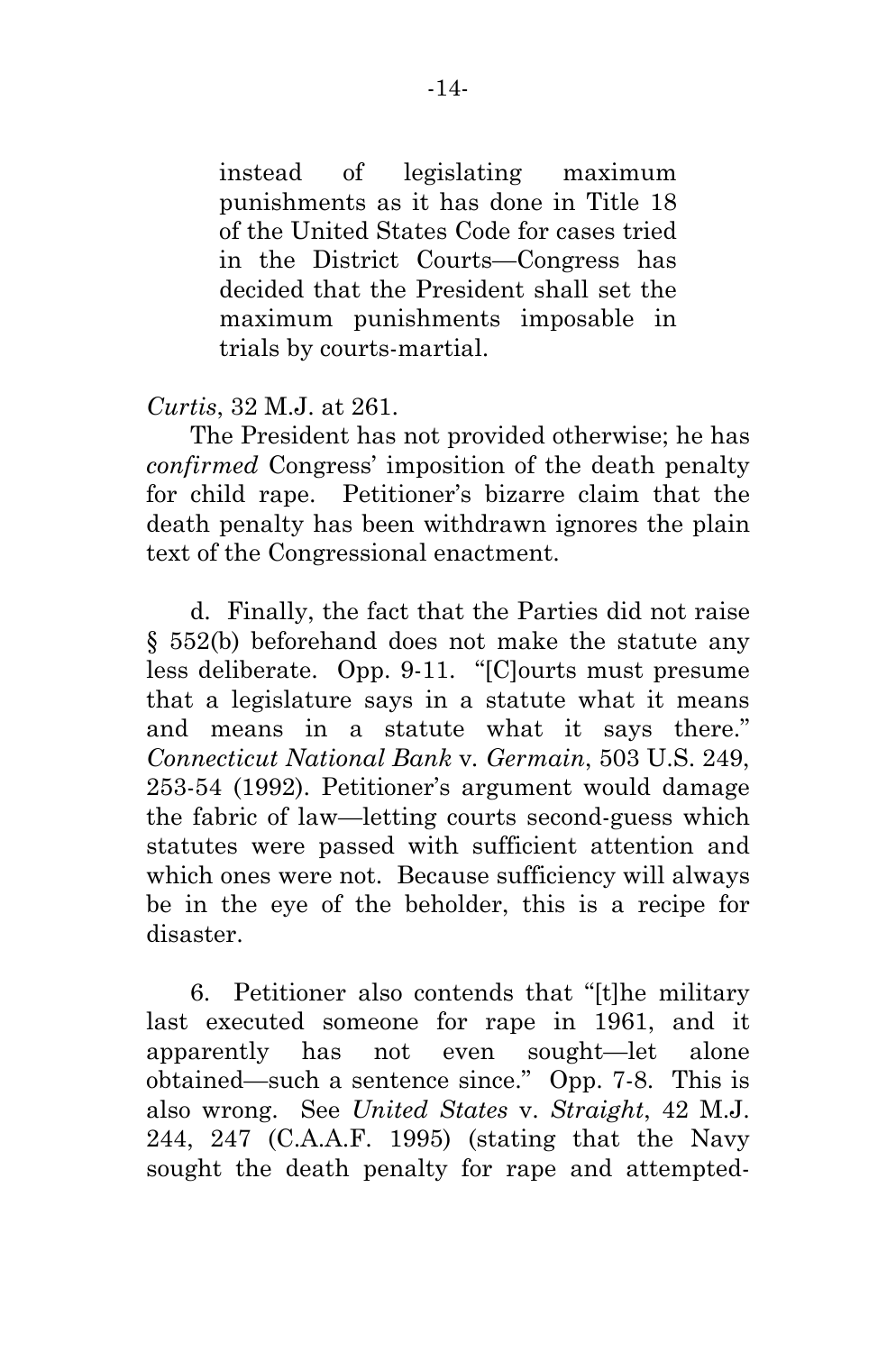instead of legislating maximum punishments as it has done in Title 18 of the United States Code for cases tried in the District Courts—Congress has decided that the President shall set the maximum punishments imposable in trials by courts-martial.

### *Curtis*, 32 M.J. at 261.

The President has not provided otherwise; he has *confirmed* Congress' imposition of the death penalty for child rape. Petitioner's bizarre claim that the death penalty has been withdrawn ignores the plain text of the Congressional enactment.

d. Finally, the fact that the Parties did not raise § 552(b) beforehand does not make the statute any less deliberate. Opp. 9-11. "[C]ourts must presume that a legislature says in a statute what it means and means in a statute what it says there." *Connecticut National Bank* v*. Germain*, 503 U.S. 249, 253-54 (1992). Petitioner's argument would damage the fabric of law—letting courts second-guess which statutes were passed with sufficient attention and which ones were not. Because sufficiency will always be in the eye of the beholder, this is a recipe for disaster.

6. Petitioner also contends that "[t]he military last executed someone for rape in 1961, and it apparently has not even sought—let alone obtained—such a sentence since." Opp. 7-8. This is also wrong. See *United States* v. *Straight*, 42 M.J. 244, 247 (C.A.A.F. 1995) (stating that the Navy sought the death penalty for rape and attempted-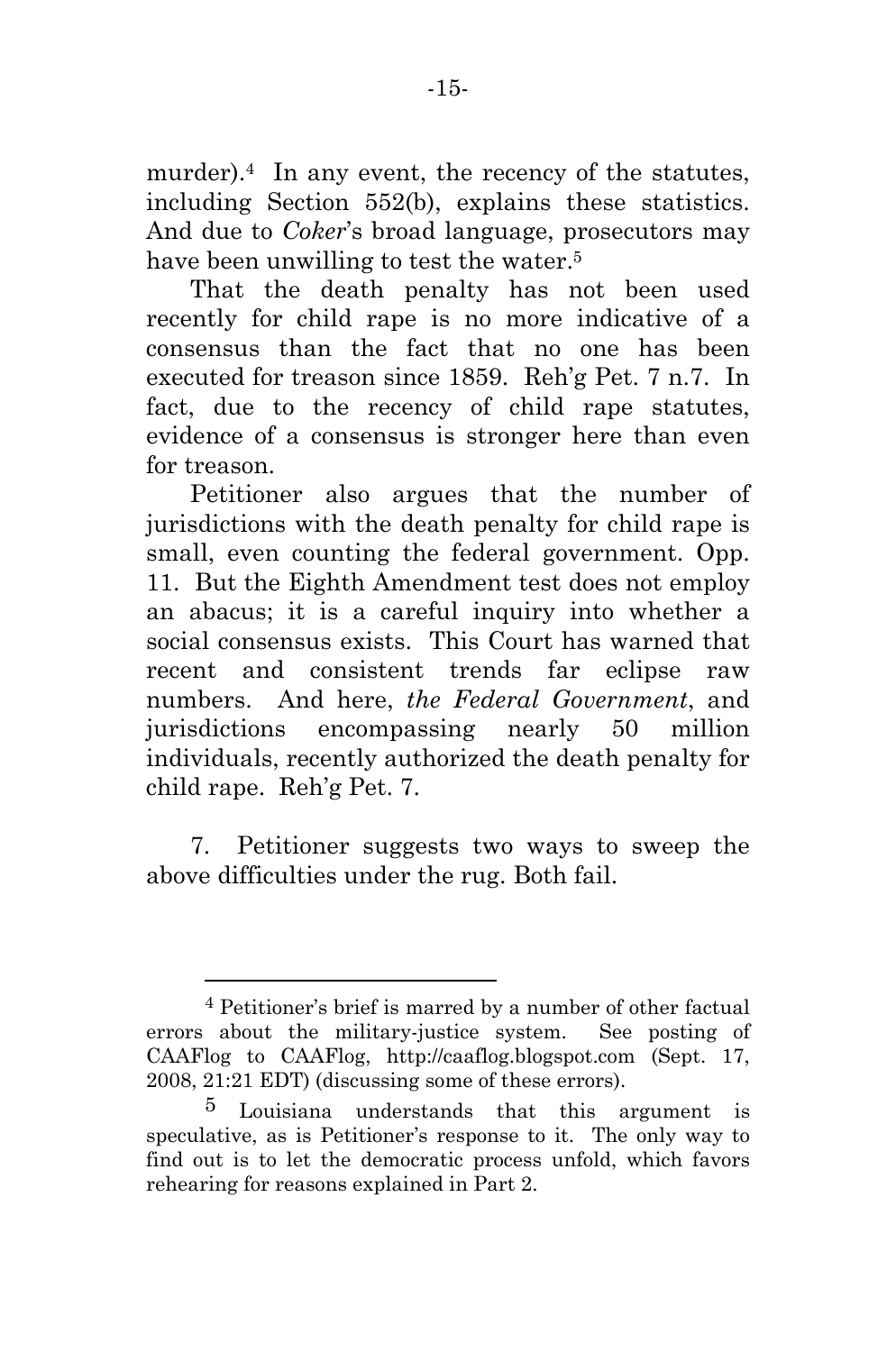murder).4 In any event, the recency of the statutes, including Section 552(b), explains these statistics. And due to *Coker*'s broad language, prosecutors may have been unwilling to test the water.<sup>5</sup>

That the death penalty has not been used recently for child rape is no more indicative of a consensus than the fact that no one has been executed for treason since 1859. Reh'g Pet. 7 n.7. In fact, due to the recency of child rape statutes, evidence of a consensus is stronger here than even for treason.

Petitioner also argues that the number of jurisdictions with the death penalty for child rape is small, even counting the federal government. Opp. 11. But the Eighth Amendment test does not employ an abacus; it is a careful inquiry into whether a social consensus exists. This Court has warned that recent and consistent trends far eclipse raw numbers. And here, *the Federal Government*, and jurisdictions encompassing nearly 50 million individuals, recently authorized the death penalty for child rape. Reh'g Pet. 7.

7. Petitioner suggests two ways to sweep the above difficulties under the rug. Both fail.

 $\overline{a}$ 

<sup>4</sup> Petitioner's brief is marred by a number of other factual errors about the military-justice system. See posting of CAAFlog to CAAFlog, http://caaflog.blogspot.com (Sept. 17, 2008, 21:21 EDT) (discussing some of these errors).

 $5$  Louisiana understands that this argument is speculative, as is Petitioner's response to it. The only way to find out is to let the democratic process unfold, which favors rehearing for reasons explained in Part 2.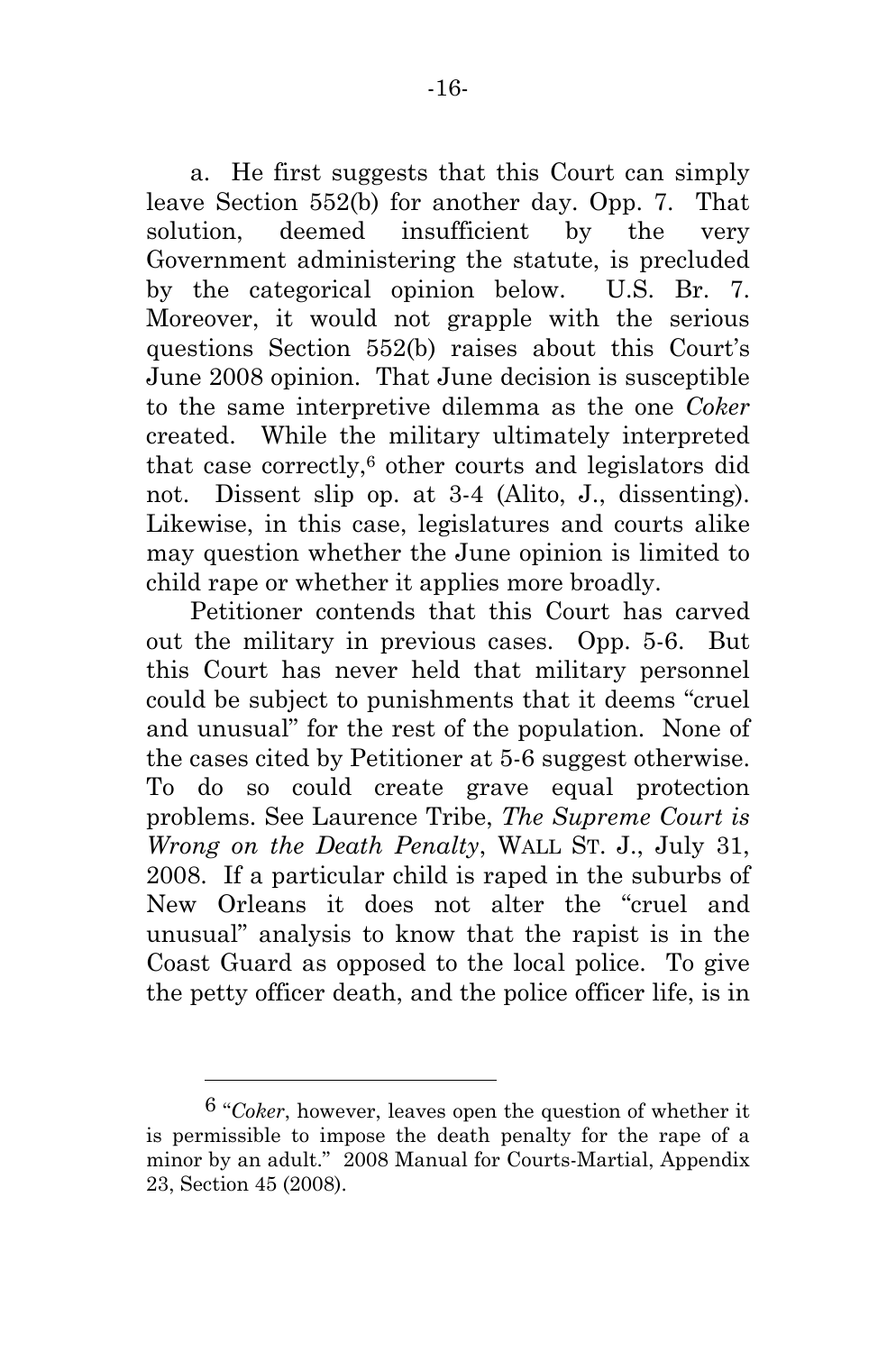a. He first suggests that this Court can simply leave Section 552(b) for another day. Opp. 7. That solution, deemed insufficient by the very Government administering the statute, is precluded by the categorical opinion below. U.S. Br. 7. Moreover, it would not grapple with the serious questions Section 552(b) raises about this Court's June 2008 opinion. That June decision is susceptible to the same interpretive dilemma as the one *Coker*  created. While the military ultimately interpreted that case correctly,6 other courts and legislators did not. Dissent slip op. at 3-4 (Alito, J., dissenting). Likewise, in this case, legislatures and courts alike may question whether the June opinion is limited to child rape or whether it applies more broadly.

Petitioner contends that this Court has carved out the military in previous cases. Opp. 5-6. But this Court has never held that military personnel could be subject to punishments that it deems "cruel and unusual" for the rest of the population. None of the cases cited by Petitioner at 5-6 suggest otherwise. To do so could create grave equal protection problems. See Laurence Tribe, *The Supreme Court is Wrong on the Death Penalty*, WALL ST. J., July 31, 2008. If a particular child is raped in the suburbs of New Orleans it does not alter the "cruel and unusual" analysis to know that the rapist is in the Coast Guard as opposed to the local police. To give the petty officer death, and the police officer life, is in

 $\overline{a}$ 

<sup>6 &</sup>quot;*Coker*, however, leaves open the question of whether it is permissible to impose the death penalty for the rape of a minor by an adult." 2008 Manual for Courts-Martial, Appendix 23, Section 45 (2008).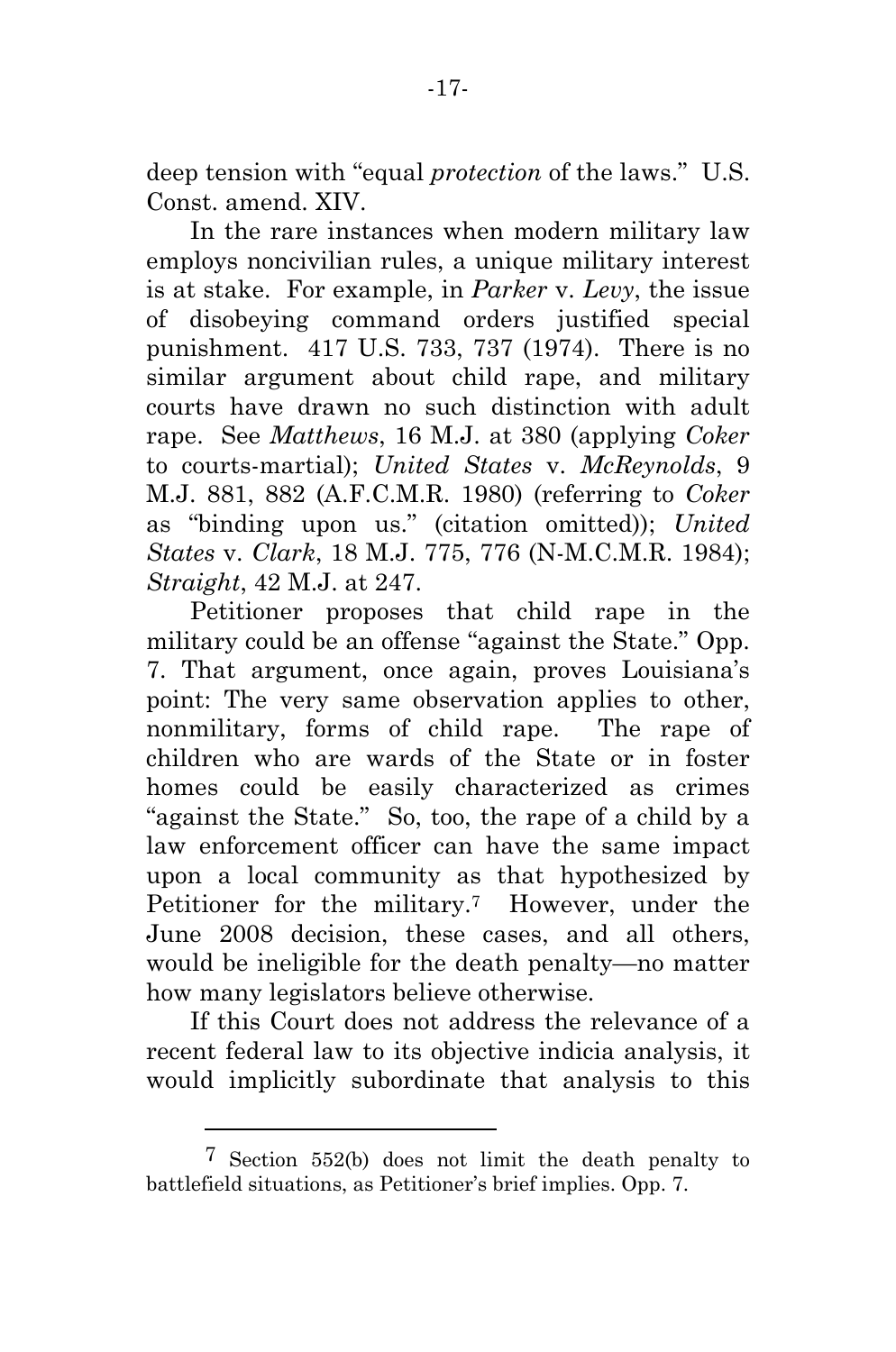deep tension with "equal *protection* of the laws." U.S. Const. amend. XIV.

In the rare instances when modern military law employs noncivilian rules, a unique military interest is at stake. For example, in *Parker* v. *Levy*, the issue of disobeying command orders justified special punishment. 417 U.S. 733, 737 (1974). There is no similar argument about child rape, and military courts have drawn no such distinction with adult rape. See *Matthews*, 16 M.J. at 380 (applying *Coker* to courts-martial); *United States* v. *McReynolds*, 9 M.J. 881, 882 (A.F.C.M.R. 1980) (referring to *Coker* as "binding upon us." (citation omitted)); *United States* v. *Clark*, 18 M.J. 775, 776 (N-M.C.M.R. 1984); *Straight*, 42 M.J. at 247.

Petitioner proposes that child rape in the military could be an offense "against the State." Opp. 7. That argument, once again, proves Louisiana's point: The very same observation applies to other, nonmilitary, forms of child rape. The rape of children who are wards of the State or in foster homes could be easily characterized as crimes "against the State." So, too, the rape of a child by a law enforcement officer can have the same impact upon a local community as that hypothesized by Petitioner for the military.<sup>7</sup> However, under the June 2008 decision, these cases, and all others, would be ineligible for the death penalty—no matter how many legislators believe otherwise.

If this Court does not address the relevance of a recent federal law to its objective indicia analysis, it would implicitly subordinate that analysis to this

 $\overline{a}$ 

<sup>7</sup> Section 552(b) does not limit the death penalty to battlefield situations, as Petitioner's brief implies. Opp. 7.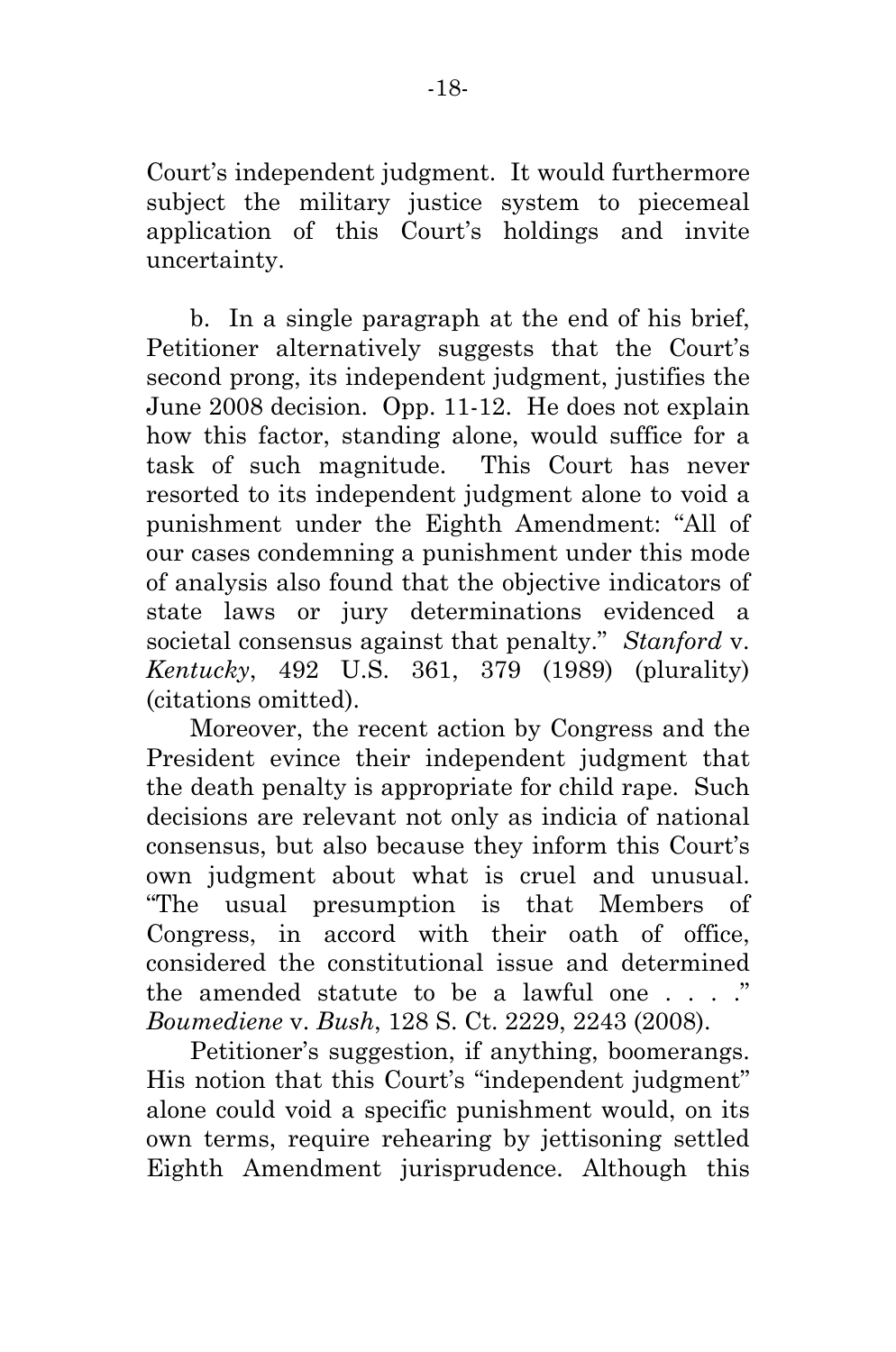Court's independent judgment. It would furthermore subject the military justice system to piecemeal application of this Court's holdings and invite uncertainty.

b. In a single paragraph at the end of his brief, Petitioner alternatively suggests that the Court's second prong, its independent judgment, justifies the June 2008 decision. Opp. 11-12. He does not explain how this factor, standing alone, would suffice for a task of such magnitude. This Court has never resorted to its independent judgment alone to void a punishment under the Eighth Amendment: "All of our cases condemning a punishment under this mode of analysis also found that the objective indicators of state laws or jury determinations evidenced a societal consensus against that penalty." *Stanford* v. *Kentucky*, 492 U.S. 361, 379 (1989) (plurality) (citations omitted).

Moreover, the recent action by Congress and the President evince their independent judgment that the death penalty is appropriate for child rape. Such decisions are relevant not only as indicia of national consensus, but also because they inform this Court's own judgment about what is cruel and unusual. "The usual presumption is that Members of Congress, in accord with their oath of office, considered the constitutional issue and determined the amended statute to be a lawful one  $\ldots$ . *Boumediene* v. *Bush*, 128 S. Ct. 2229, 2243 (2008).

Petitioner's suggestion, if anything, boomerangs. His notion that this Court's "independent judgment" alone could void a specific punishment would, on its own terms, require rehearing by jettisoning settled Eighth Amendment jurisprudence. Although this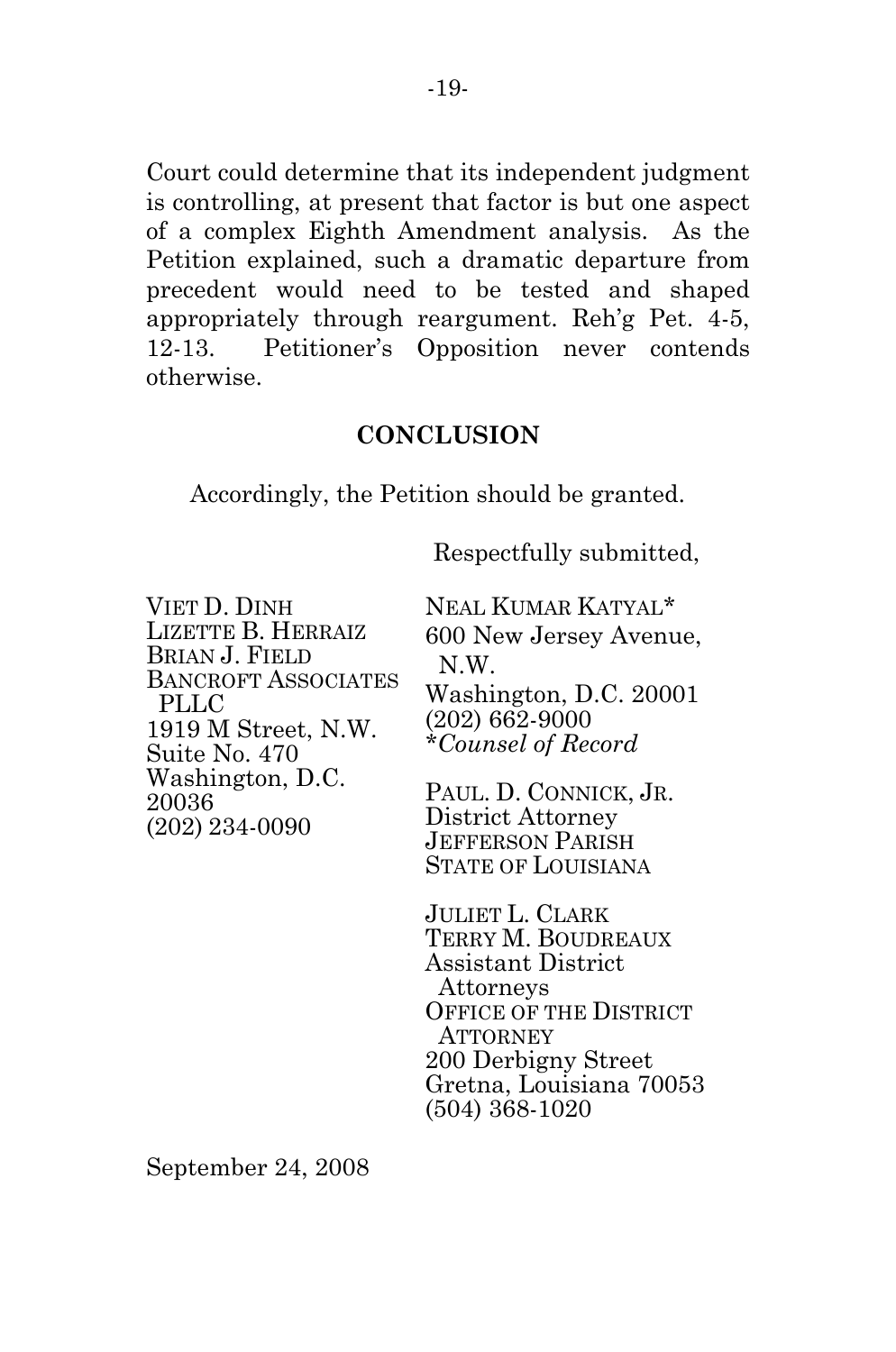Court could determine that its independent judgment is controlling, at present that factor is but one aspect of a complex Eighth Amendment analysis. As the Petition explained, such a dramatic departure from precedent would need to be tested and shaped appropriately through reargument. Reh'g Pet. 4-5, 12-13. Petitioner's Opposition never contends otherwise.

#### **CONCLUSION**

Accordingly, the Petition should be granted.

Respectfully submitted,

VIET D. DINH LIZETTE B. HERRAIZ BRIAN J. FIELD BANCROFT ASSOCIATES PLLC 1919 M Street, N.W. Suite No. 470 Washington, D.C. 20036 (202) 234-0090

NEAL KUMAR KATYAL\* 600 New Jersey Avenue, N.W. Washington, D.C. 20001 (202) 662-9000

*\*Counsel of Record* 

PAUL. D. CONNICK, JR. District Attorney JEFFERSON PARISH STATE OF LOUISIANA

JULIET L. CLARK TERRY M. BOUDREAUX Assistant District Attorneys OFFICE OF THE DISTRICT **ATTORNEY** 200 Derbigny Street Gretna, Louisiana 70053 (504) 368-1020

September 24, 2008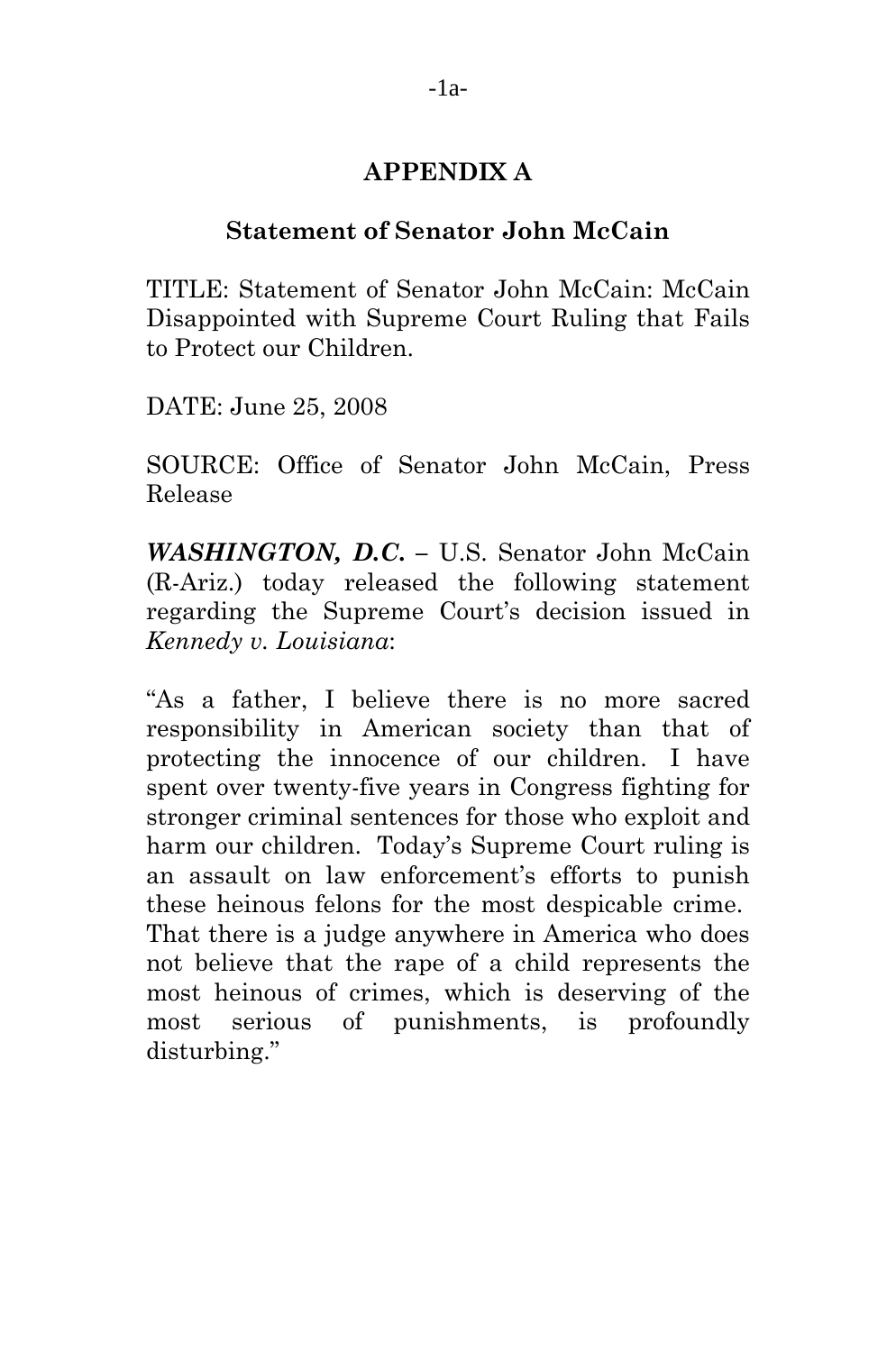# **APPENDIX A**

#### **Statement of Senator John McCain**

TITLE: Statement of Senator John McCain: McCain Disappointed with Supreme Court Ruling that Fails to Protect our Children.

DATE: June 25, 2008

SOURCE: Office of Senator John McCain, Press Release

*WASHINGTON, D.C***. –** U.S. Senator John McCain (R-Ariz.) today released the following statement regarding the Supreme Court's decision issued in *Kennedy v. Louisiana*:

"As a father, I believe there is no more sacred responsibility in American society than that of protecting the innocence of our children. I have spent over twenty-five years in Congress fighting for stronger criminal sentences for those who exploit and harm our children. Today's Supreme Court ruling is an assault on law enforcement's efforts to punish these heinous felons for the most despicable crime. That there is a judge anywhere in America who does not believe that the rape of a child represents the most heinous of crimes, which is deserving of the most serious of punishments, is profoundly disturbing."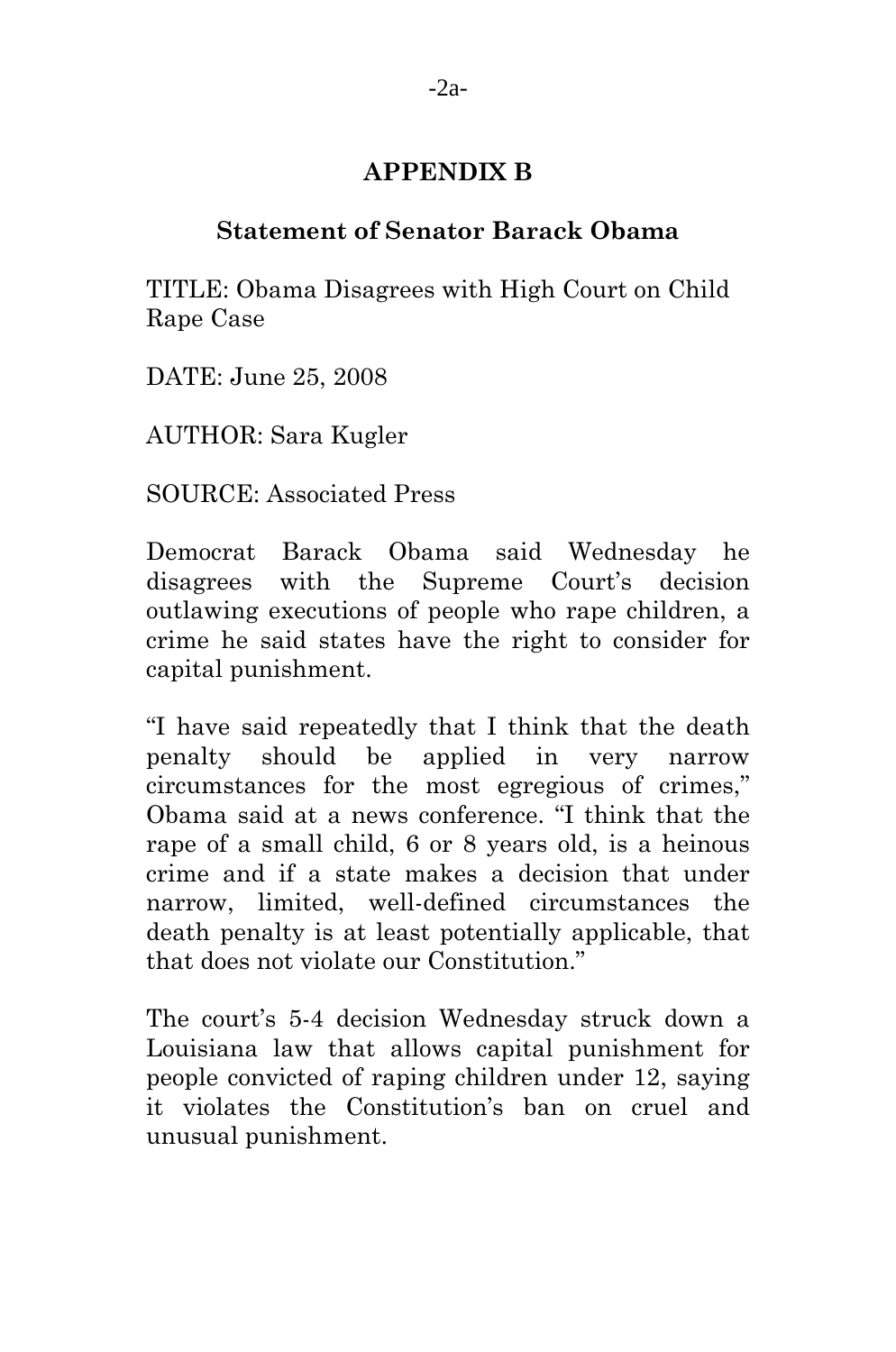# **APPENDIX B**

### **Statement of Senator Barack Obama**

TITLE: Obama Disagrees with High Court on Child Rape Case

DATE: June 25, 2008

AUTHOR: Sara Kugler

SOURCE: Associated Press

Democrat Barack Obama said Wednesday he disagrees with the Supreme Court's decision outlawing executions of people who rape children, a crime he said states have the right to consider for capital punishment.

"I have said repeatedly that I think that the death penalty should be applied in very narrow circumstances for the most egregious of crimes," Obama said at a news conference. "I think that the rape of a small child, 6 or 8 years old, is a heinous crime and if a state makes a decision that under narrow, limited, well-defined circumstances the death penalty is at least potentially applicable, that that does not violate our Constitution."

The court's 5-4 decision Wednesday struck down a Louisiana law that allows capital punishment for people convicted of raping children under 12, saying it violates the Constitution's ban on cruel and unusual punishment.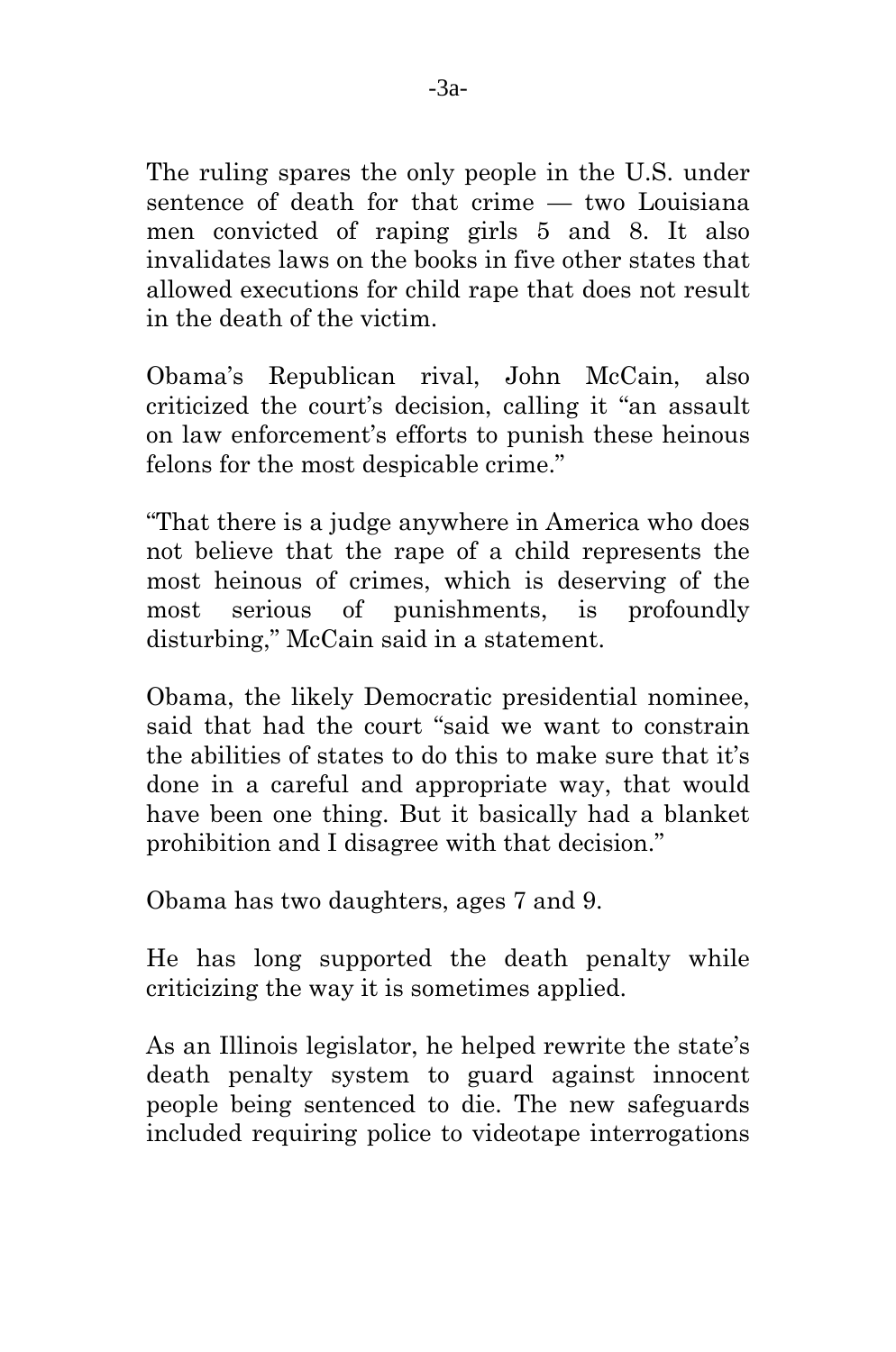The ruling spares the only people in the U.S. under sentence of death for that crime — two Louisiana men convicted of raping girls 5 and 8. It also invalidates laws on the books in five other states that allowed executions for child rape that does not result in the death of the victim.

Obama's Republican rival, John McCain, also criticized the court's decision, calling it "an assault on law enforcement's efforts to punish these heinous felons for the most despicable crime."

"That there is a judge anywhere in America who does not believe that the rape of a child represents the most heinous of crimes, which is deserving of the most serious of punishments, is profoundly disturbing," McCain said in a statement.

Obama, the likely Democratic presidential nominee, said that had the court "said we want to constrain the abilities of states to do this to make sure that it's done in a careful and appropriate way, that would have been one thing. But it basically had a blanket prohibition and I disagree with that decision."

Obama has two daughters, ages 7 and 9.

He has long supported the death penalty while criticizing the way it is sometimes applied.

As an Illinois legislator, he helped rewrite the state's death penalty system to guard against innocent people being sentenced to die. The new safeguards included requiring police to videotape interrogations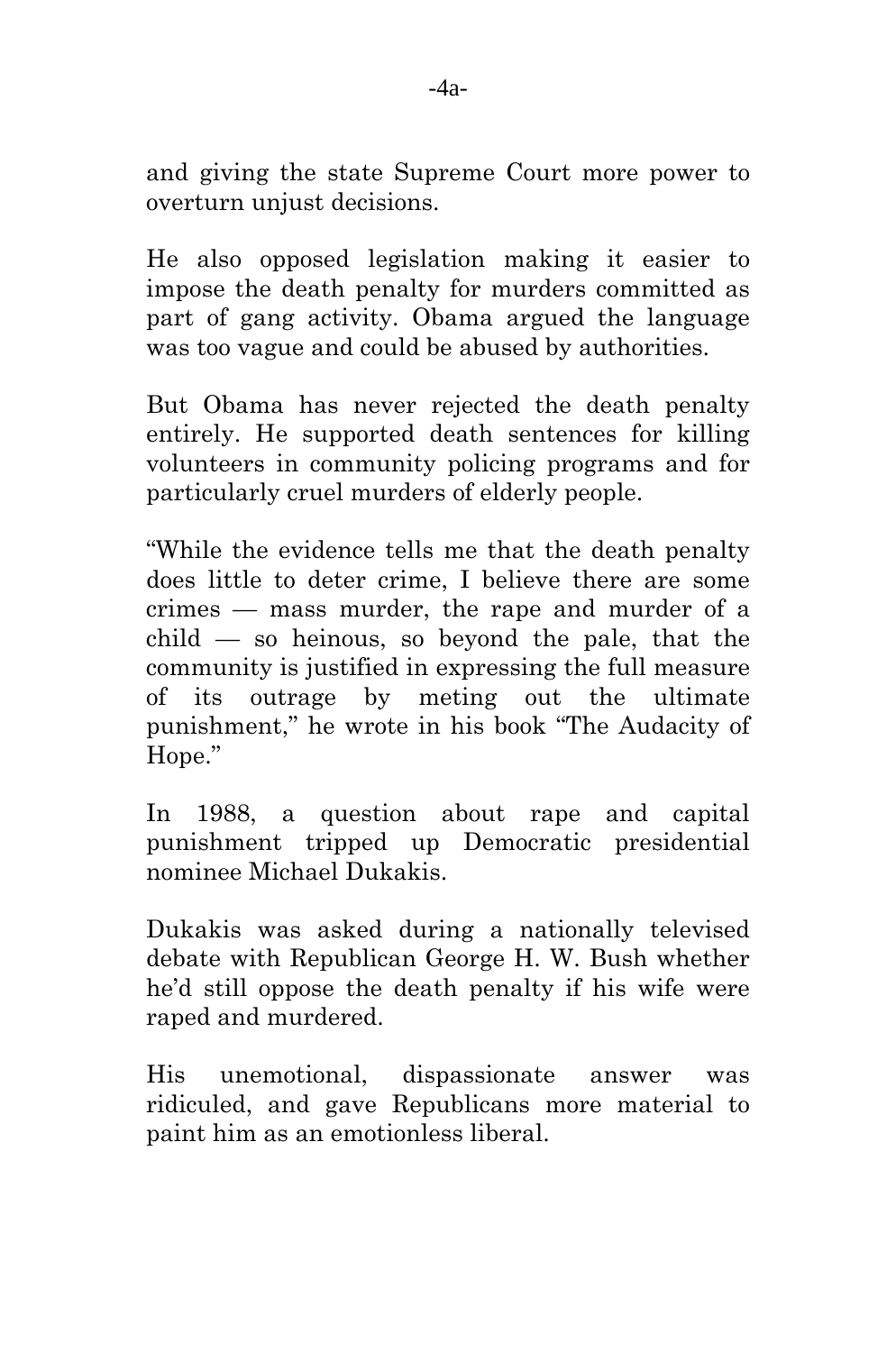and giving the state Supreme Court more power to overturn unjust decisions.

He also opposed legislation making it easier to impose the death penalty for murders committed as part of gang activity. Obama argued the language was too vague and could be abused by authorities.

But Obama has never rejected the death penalty entirely. He supported death sentences for killing volunteers in community policing programs and for particularly cruel murders of elderly people.

"While the evidence tells me that the death penalty does little to deter crime, I believe there are some crimes — mass murder, the rape and murder of a  $child$  — so heinous, so beyond the pale, that the community is justified in expressing the full measure of its outrage by meting out the ultimate punishment," he wrote in his book "The Audacity of Hope."

In 1988, a question about rape and capital punishment tripped up Democratic presidential nominee Michael Dukakis.

Dukakis was asked during a nationally televised debate with Republican George H. W. Bush whether he'd still oppose the death penalty if his wife were raped and murdered.

His unemotional, dispassionate answer was ridiculed, and gave Republicans more material to paint him as an emotionless liberal.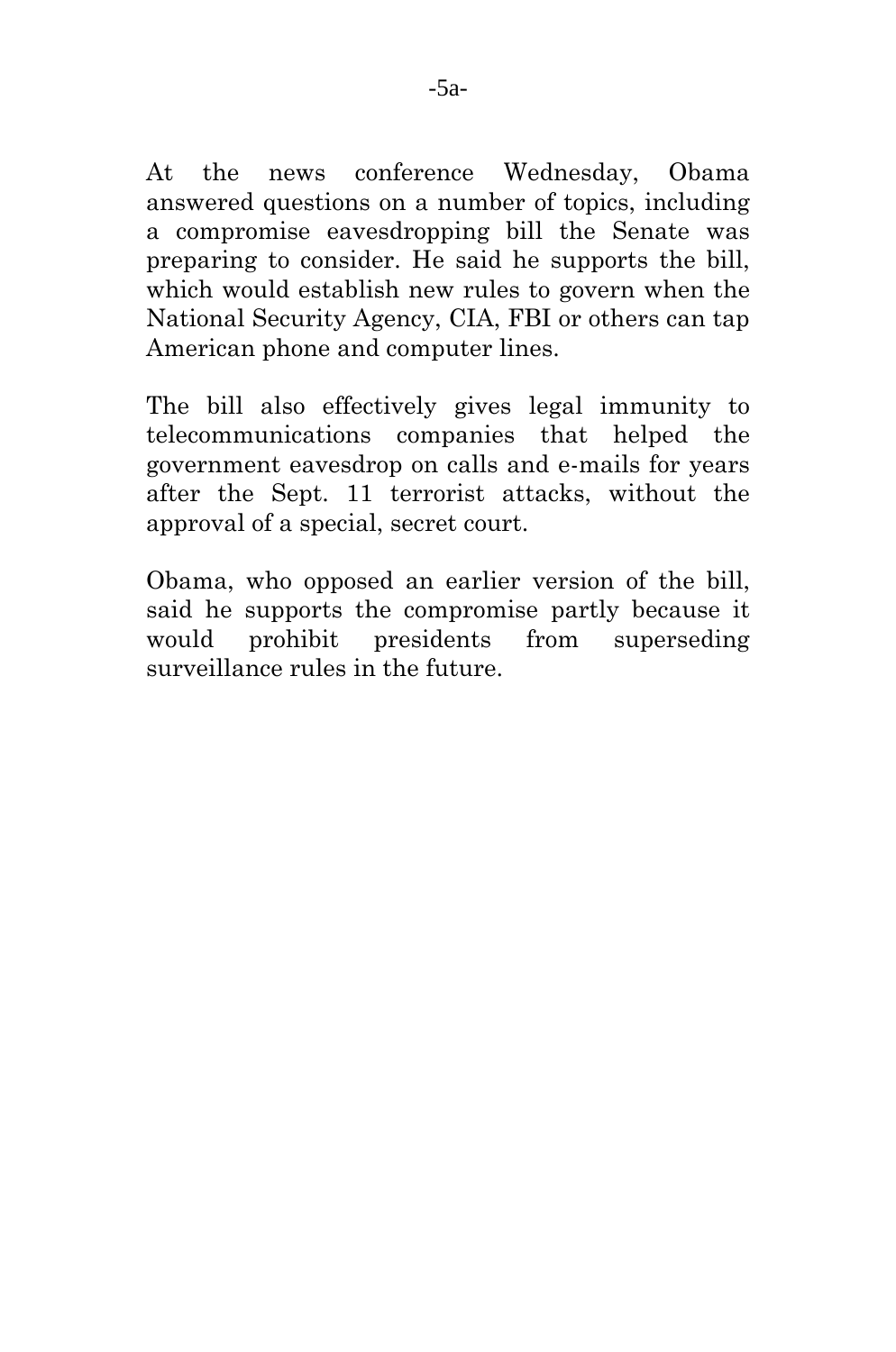At the news conference Wednesday, Obama answered questions on a number of topics, including a compromise eavesdropping bill the Senate was preparing to consider. He said he supports the bill, which would establish new rules to govern when the National Security Agency, CIA, FBI or others can tap American phone and computer lines.

The bill also effectively gives legal immunity to telecommunications companies that helped the government eavesdrop on calls and e-mails for years after the Sept. 11 terrorist attacks, without the approval of a special, secret court.

Obama, who opposed an earlier version of the bill, said he supports the compromise partly because it would prohibit presidents from superseding surveillance rules in the future.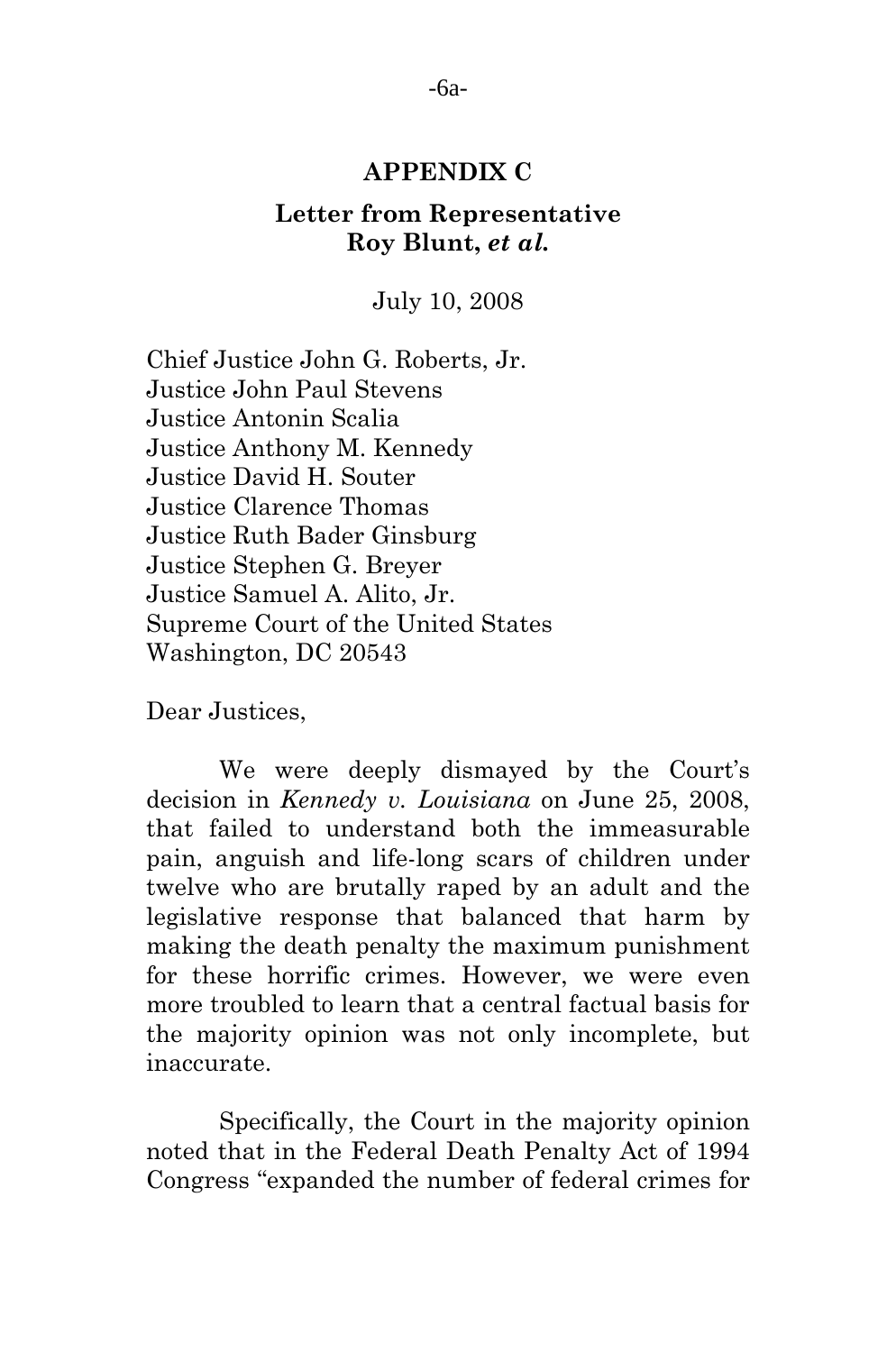#### **APPENDIX C**

### **Letter from Representative Roy Blunt,** *et al.*

July 10, 2008

Chief Justice John G. Roberts, Jr. Justice John Paul Stevens Justice Antonin Scalia Justice Anthony M. Kennedy Justice David H. Souter Justice Clarence Thomas Justice Ruth Bader Ginsburg Justice Stephen G. Breyer Justice Samuel A. Alito, Jr. Supreme Court of the United States Washington, DC 20543

Dear Justices,

 We were deeply dismayed by the Court's decision in *Kennedy v. Louisiana* on June 25, 2008, that failed to understand both the immeasurable pain, anguish and life-long scars of children under twelve who are brutally raped by an adult and the legislative response that balanced that harm by making the death penalty the maximum punishment for these horrific crimes. However, we were even more troubled to learn that a central factual basis for the majority opinion was not only incomplete, but inaccurate.

 Specifically, the Court in the majority opinion noted that in the Federal Death Penalty Act of 1994 Congress "expanded the number of federal crimes for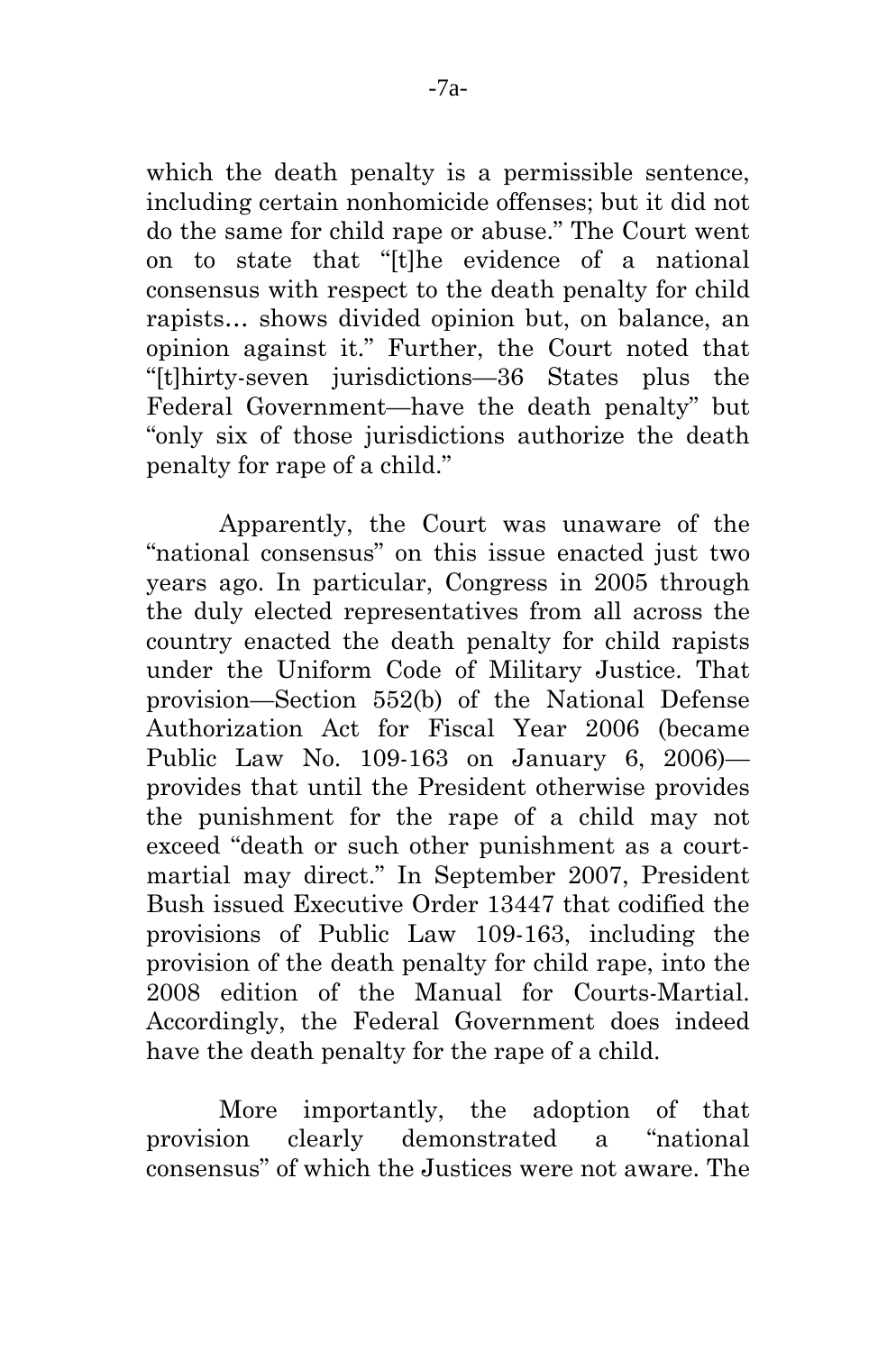which the death penalty is a permissible sentence, including certain nonhomicide offenses; but it did not do the same for child rape or abuse." The Court went on to state that "[t]he evidence of a national consensus with respect to the death penalty for child rapists… shows divided opinion but, on balance, an opinion against it." Further, the Court noted that "[t]hirty-seven jurisdictions—36 States plus the Federal Government—have the death penalty" but "only six of those jurisdictions authorize the death penalty for rape of a child."

 Apparently, the Court was unaware of the "national consensus" on this issue enacted just two years ago. In particular, Congress in 2005 through the duly elected representatives from all across the country enacted the death penalty for child rapists under the Uniform Code of Military Justice. That provision—Section 552(b) of the National Defense Authorization Act for Fiscal Year 2006 (became Public Law No. 109-163 on January 6, 2006) provides that until the President otherwise provides the punishment for the rape of a child may not exceed "death or such other punishment as a courtmartial may direct." In September 2007, President Bush issued Executive Order 13447 that codified the provisions of Public Law 109-163, including the provision of the death penalty for child rape, into the 2008 edition of the Manual for Courts-Martial. Accordingly, the Federal Government does indeed have the death penalty for the rape of a child.

More importantly, the adoption of that provision clearly demonstrated a "national consensus" of which the Justices were not aware. The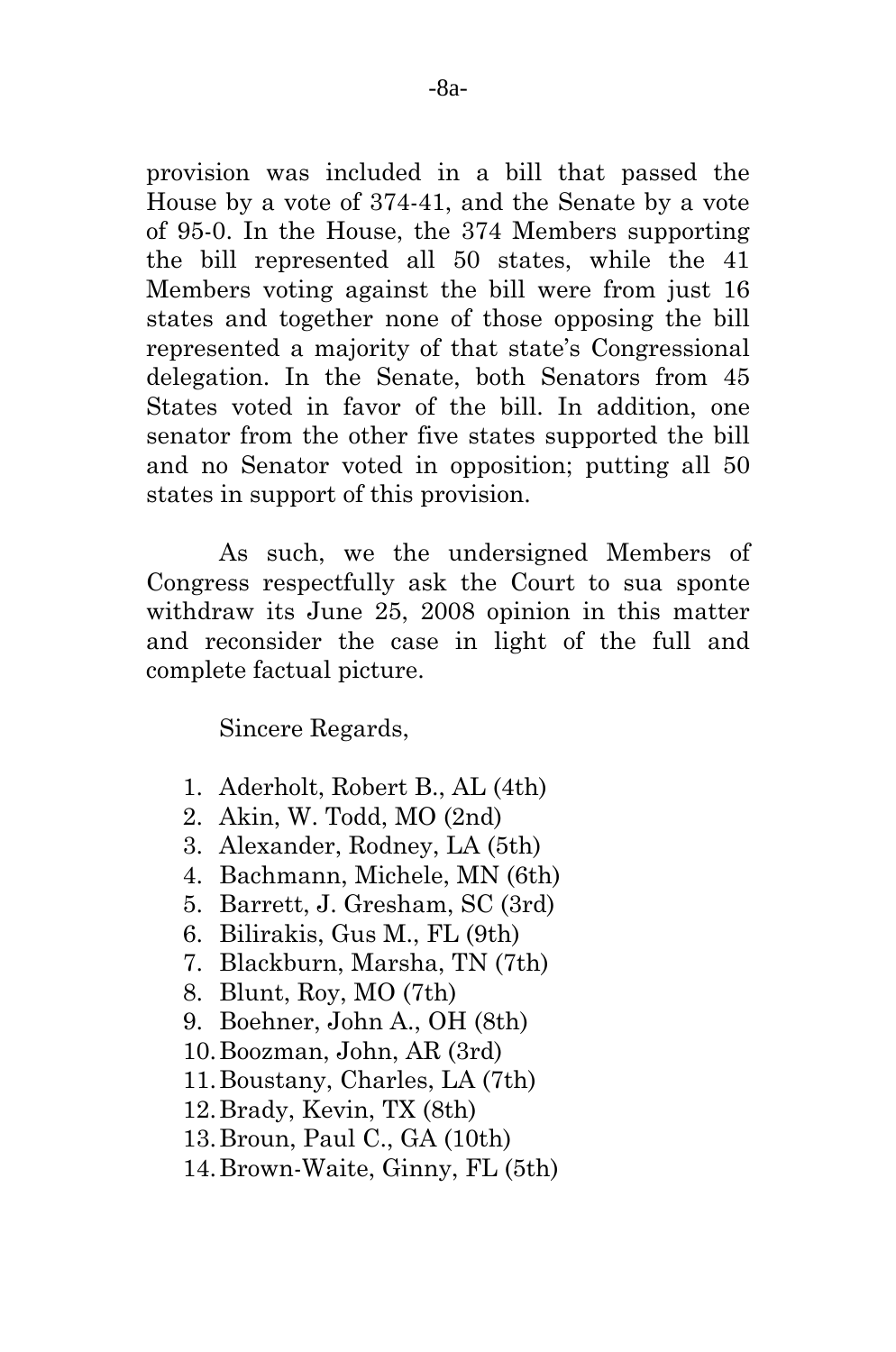provision was included in a bill that passed the House by a vote of 374-41, and the Senate by a vote of 95-0. In the House, the 374 Members supporting the bill represented all 50 states, while the 41 Members voting against the bill were from just 16 states and together none of those opposing the bill represented a majority of that state's Congressional delegation. In the Senate, both Senators from 45 States voted in favor of the bill. In addition, one senator from the other five states supported the bill and no Senator voted in opposition; putting all 50 states in support of this provision.

As such, we the undersigned Members of Congress respectfully ask the Court to sua sponte withdraw its June 25, 2008 opinion in this matter and reconsider the case in light of the full and complete factual picture.

Sincere Regards,

- 1. Aderholt, Robert B., AL (4th)
- 2. Akin, W. Todd, MO (2nd)
- 3. Alexander, Rodney, LA (5th)
- 4. Bachmann, Michele, MN (6th)
- 5. Barrett, J. Gresham, SC (3rd)
- 6. Bilirakis, Gus M., FL (9th)
- 7. Blackburn, Marsha, TN (7th)
- 8. Blunt, Roy, MO (7th)
- 9. Boehner, John A., OH (8th)
- 10.Boozman, John, AR (3rd)
- 11.Boustany, Charles, LA (7th)
- 12.Brady, Kevin, TX (8th)
- 13.Broun, Paul C., GA (10th)
- 14.Brown-Waite, Ginny, FL (5th)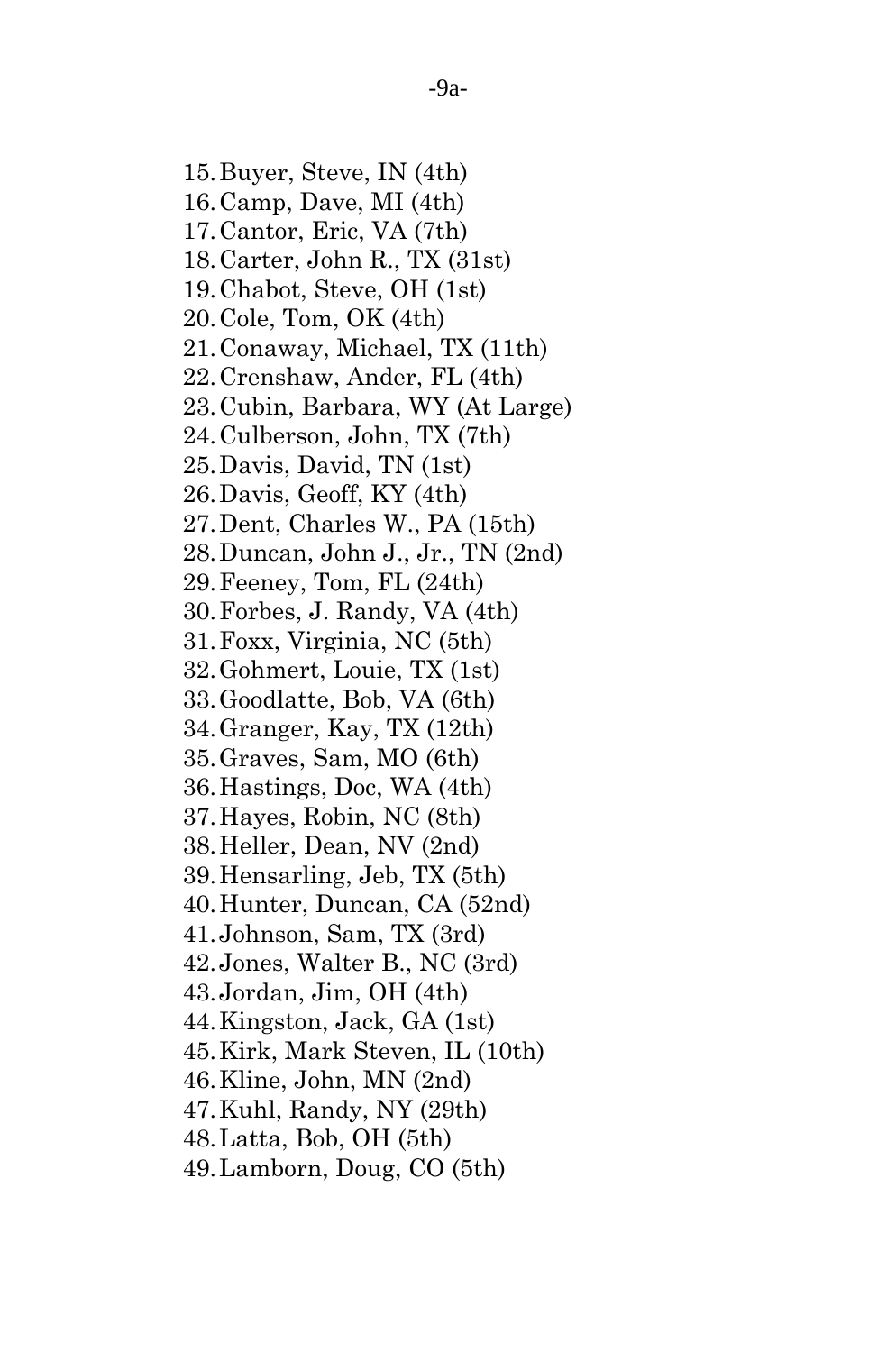15.Buyer, Steve, IN (4th) 16.Camp, Dave, MI (4th) 17.Cantor, Eric, VA (7th) 18.Carter, John R., TX (31st) 19.Chabot, Steve, OH (1st) 20.Cole, Tom, OK (4th) 21.Conaway, Michael, TX (11th) 22.Crenshaw, Ander, FL (4th) 23.Cubin, Barbara, WY (At Large) 24.Culberson, John, TX (7th) 25.Davis, David, TN (1st) 26.Davis, Geoff, KY (4th) 27.Dent, Charles W., PA (15th) 28.Duncan, John J., Jr., TN (2nd) 29.Feeney, Tom, FL (24th) 30.Forbes, J. Randy, VA (4th) 31.Foxx, Virginia, NC (5th) 32.Gohmert, Louie, TX (1st) 33.Goodlatte, Bob, VA (6th) 34.Granger, Kay, TX (12th) 35.Graves, Sam, MO (6th) 36.Hastings, Doc, WA (4th) 37.Hayes, Robin, NC (8th) 38.Heller, Dean, NV (2nd) 39.Hensarling, Jeb, TX (5th) 40.Hunter, Duncan, CA (52nd) 41.Johnson, Sam, TX (3rd) 42.Jones, Walter B., NC (3rd) 43.Jordan, Jim, OH (4th) 44.Kingston, Jack, GA (1st) 45.Kirk, Mark Steven, IL (10th) 46.Kline, John, MN (2nd) 47.Kuhl, Randy, NY (29th) 48.Latta, Bob, OH (5th) 49.Lamborn, Doug, CO (5th)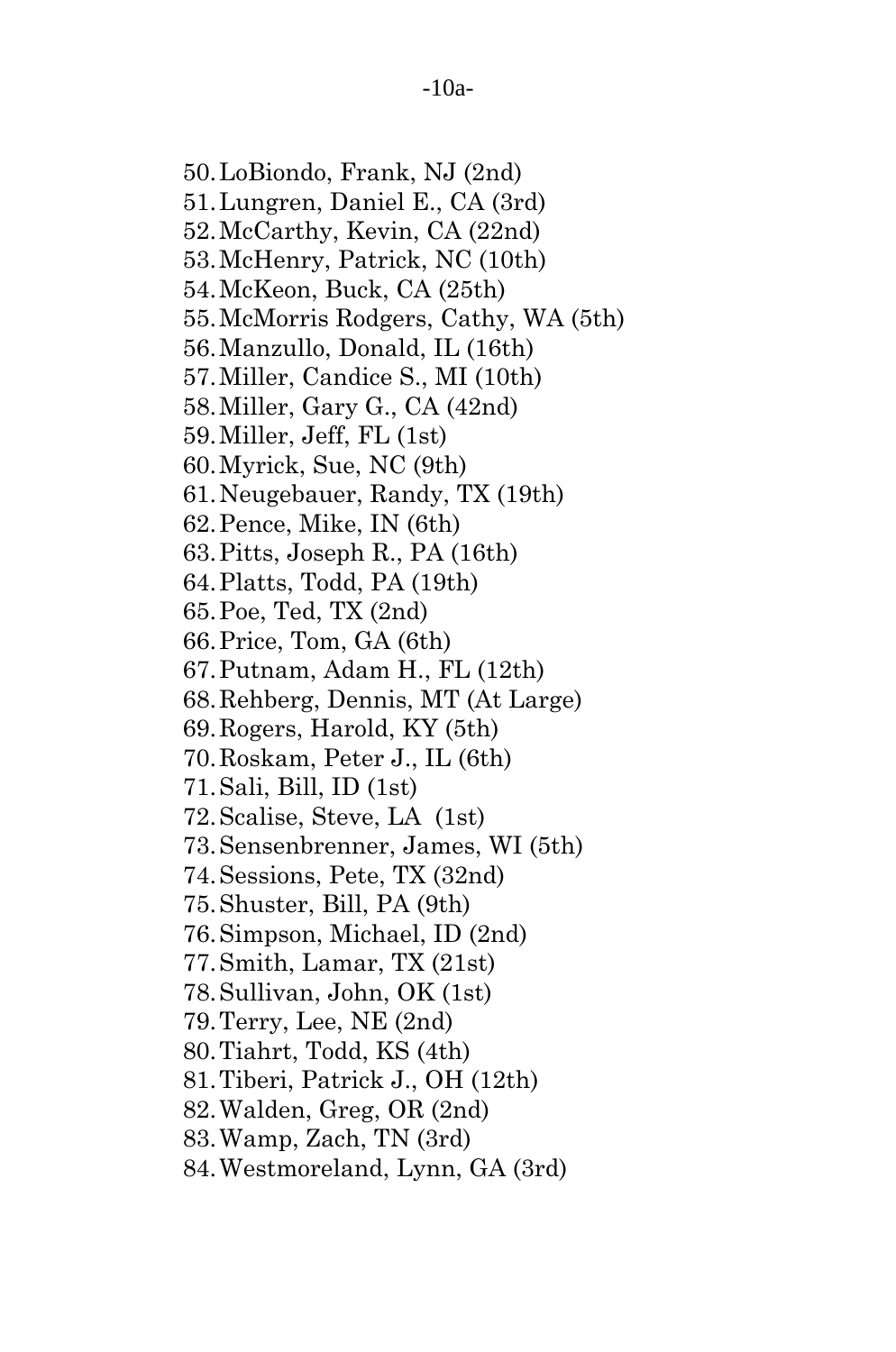50.LoBiondo, Frank, NJ (2nd) 51.Lungren, Daniel E., CA (3rd) 52.McCarthy, Kevin, CA (22nd) 53.McHenry, Patrick, NC (10th) 54.McKeon, Buck, CA (25th) 55.McMorris Rodgers, Cathy, WA (5th) 56.Manzullo, Donald, IL (16th) 57.Miller, Candice S., MI (10th) 58.Miller, Gary G., CA (42nd) 59.Miller, Jeff, FL (1st) 60.Myrick, Sue, NC (9th) 61.Neugebauer, Randy, TX (19th) 62.Pence, Mike, IN (6th) 63.Pitts, Joseph R., PA (16th) 64.Platts, Todd, PA (19th) 65.Poe, Ted, TX (2nd) 66.Price, Tom, GA (6th) 67.Putnam, Adam H., FL (12th) 68.Rehberg, Dennis, MT (At Large) 69.Rogers, Harold, KY (5th) 70.Roskam, Peter J., IL (6th) 71.Sali, Bill, ID (1st) 72.Scalise, Steve, LA (1st) 73.Sensenbrenner, James, WI (5th) 74.Sessions, Pete, TX (32nd) 75.Shuster, Bill, PA (9th) 76.Simpson, Michael, ID (2nd) 77.Smith, Lamar, TX (21st) 78.Sullivan, John, OK (1st) 79.Terry, Lee, NE (2nd) 80.Tiahrt, Todd, KS (4th) 81.Tiberi, Patrick J., OH (12th) 82.Walden, Greg, OR (2nd) 83.Wamp, Zach, TN (3rd) 84.Westmoreland, Lynn, GA (3rd)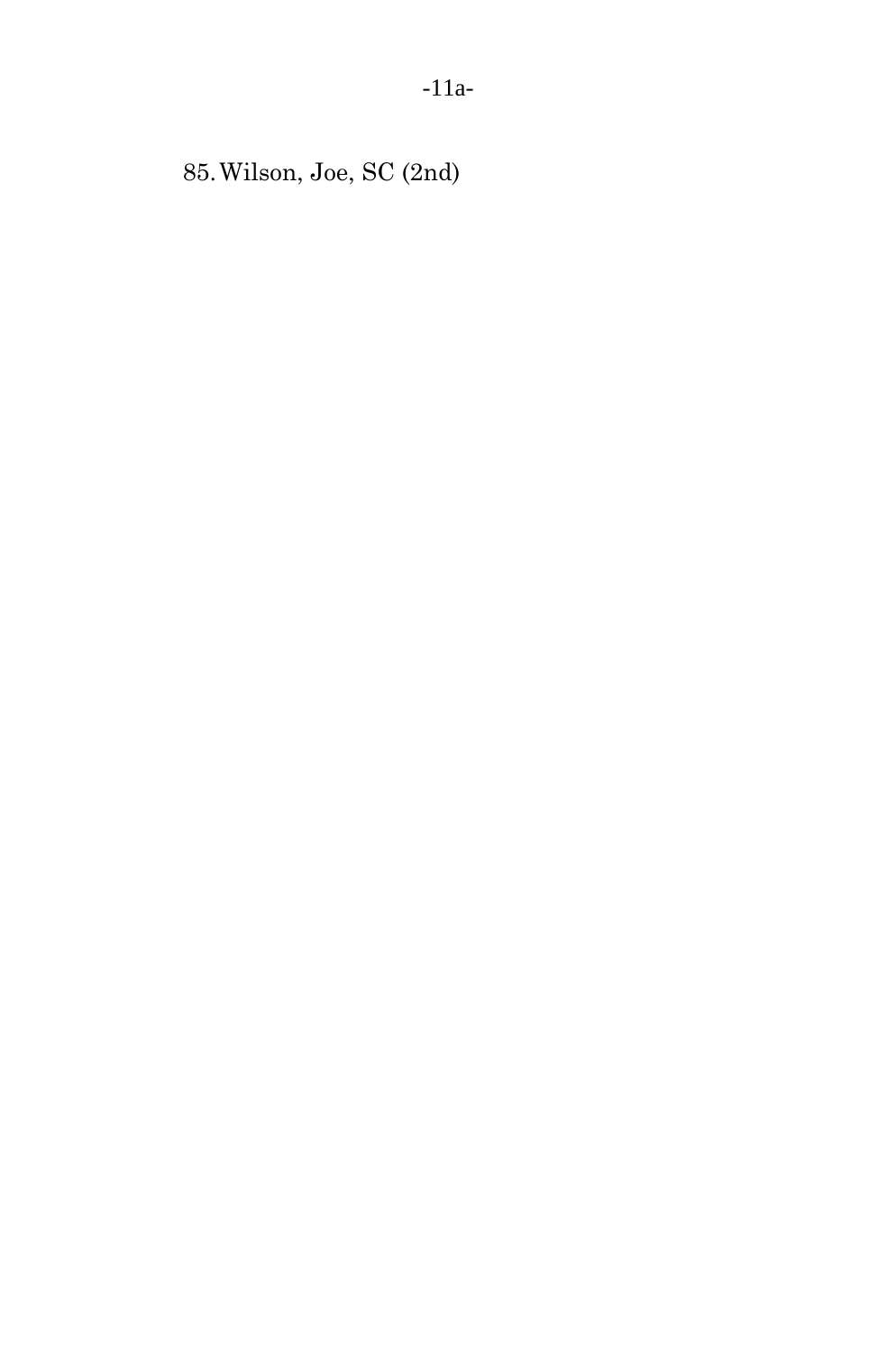85.Wilson, Joe, SC (2nd)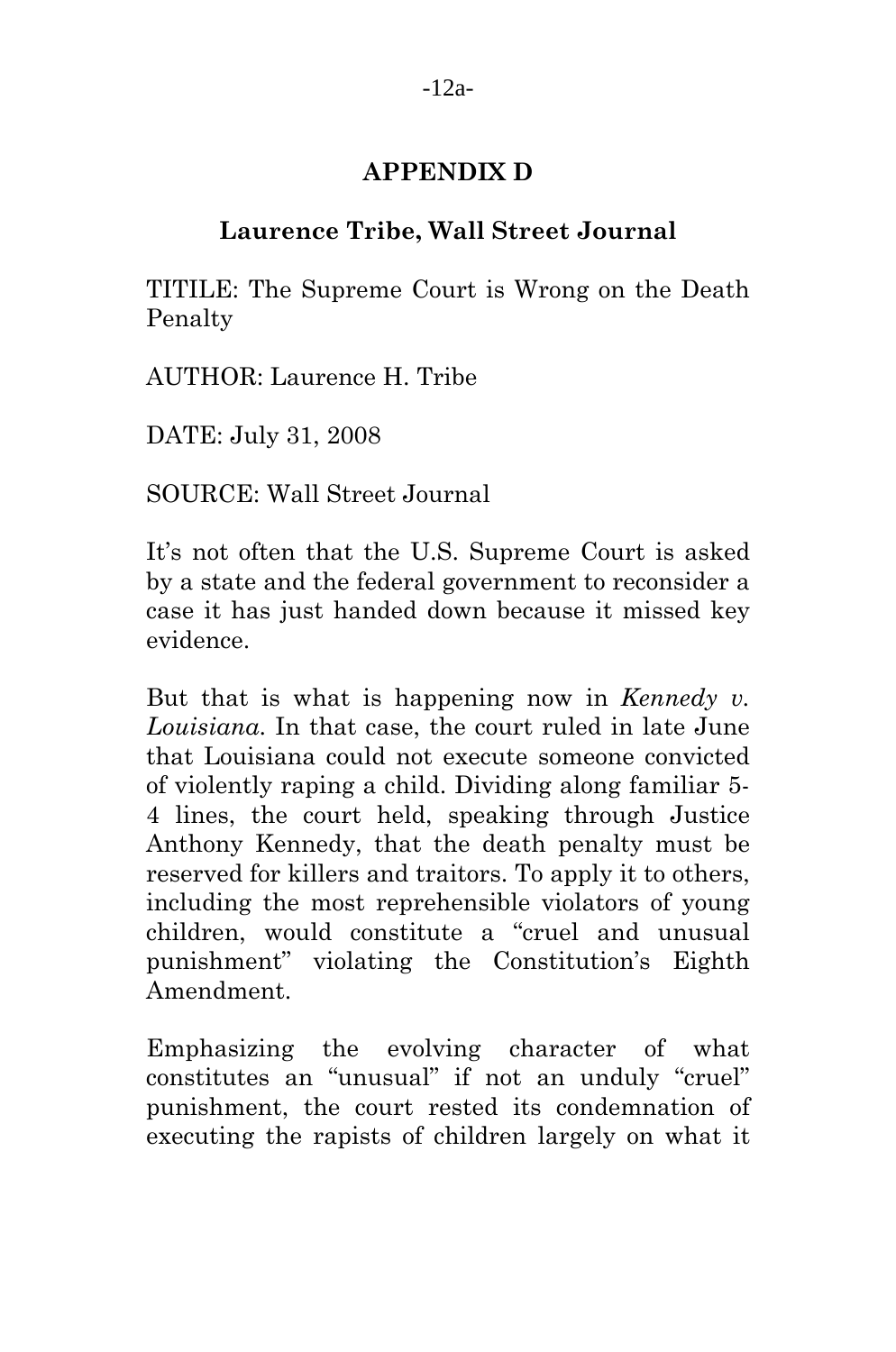# **APPENDIX D**

# **Laurence Tribe, Wall Street Journal**

TITILE: The Supreme Court is Wrong on the Death Penalty

AUTHOR: Laurence H. Tribe

DATE: July 31, 2008

SOURCE: Wall Street Journal

It's not often that the U.S. Supreme Court is asked by a state and the federal government to reconsider a case it has just handed down because it missed key evidence.

But that is what is happening now in *Kennedy v. Louisiana*. In that case, the court ruled in late June that Louisiana could not execute someone convicted of violently raping a child. Dividing along familiar 5- 4 lines, the court held, speaking through Justice Anthony Kennedy, that the death penalty must be reserved for killers and traitors. To apply it to others, including the most reprehensible violators of young children, would constitute a "cruel and unusual punishment" violating the Constitution's Eighth Amendment.

Emphasizing the evolving character of what constitutes an "unusual" if not an unduly "cruel" punishment, the court rested its condemnation of executing the rapists of children largely on what it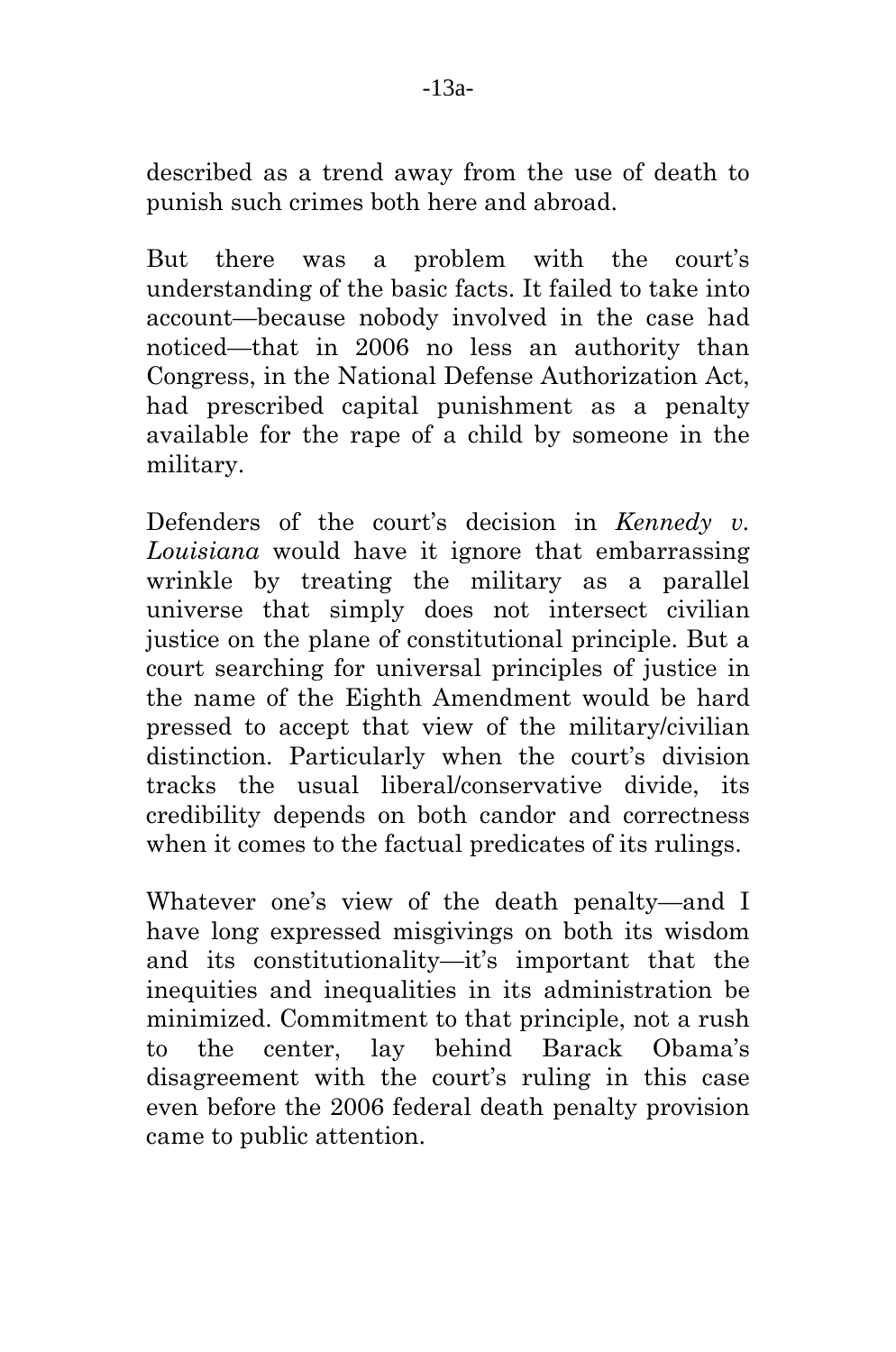described as a trend away from the use of death to punish such crimes both here and abroad.

But there was a problem with the court's understanding of the basic facts. It failed to take into account—because nobody involved in the case had noticed—that in 2006 no less an authority than Congress, in the National Defense Authorization Act, had prescribed capital punishment as a penalty available for the rape of a child by someone in the military.

Defenders of the court's decision in *Kennedy v. Louisiana* would have it ignore that embarrassing wrinkle by treating the military as a parallel universe that simply does not intersect civilian justice on the plane of constitutional principle. But a court searching for universal principles of justice in the name of the Eighth Amendment would be hard pressed to accept that view of the military/civilian distinction. Particularly when the court's division tracks the usual liberal/conservative divide, its credibility depends on both candor and correctness when it comes to the factual predicates of its rulings.

Whatever one's view of the death penalty—and I have long expressed misgivings on both its wisdom and its constitutionality—it's important that the inequities and inequalities in its administration be minimized. Commitment to that principle, not a rush to the center, lay behind Barack Obama's disagreement with the court's ruling in this case even before the 2006 federal death penalty provision came to public attention.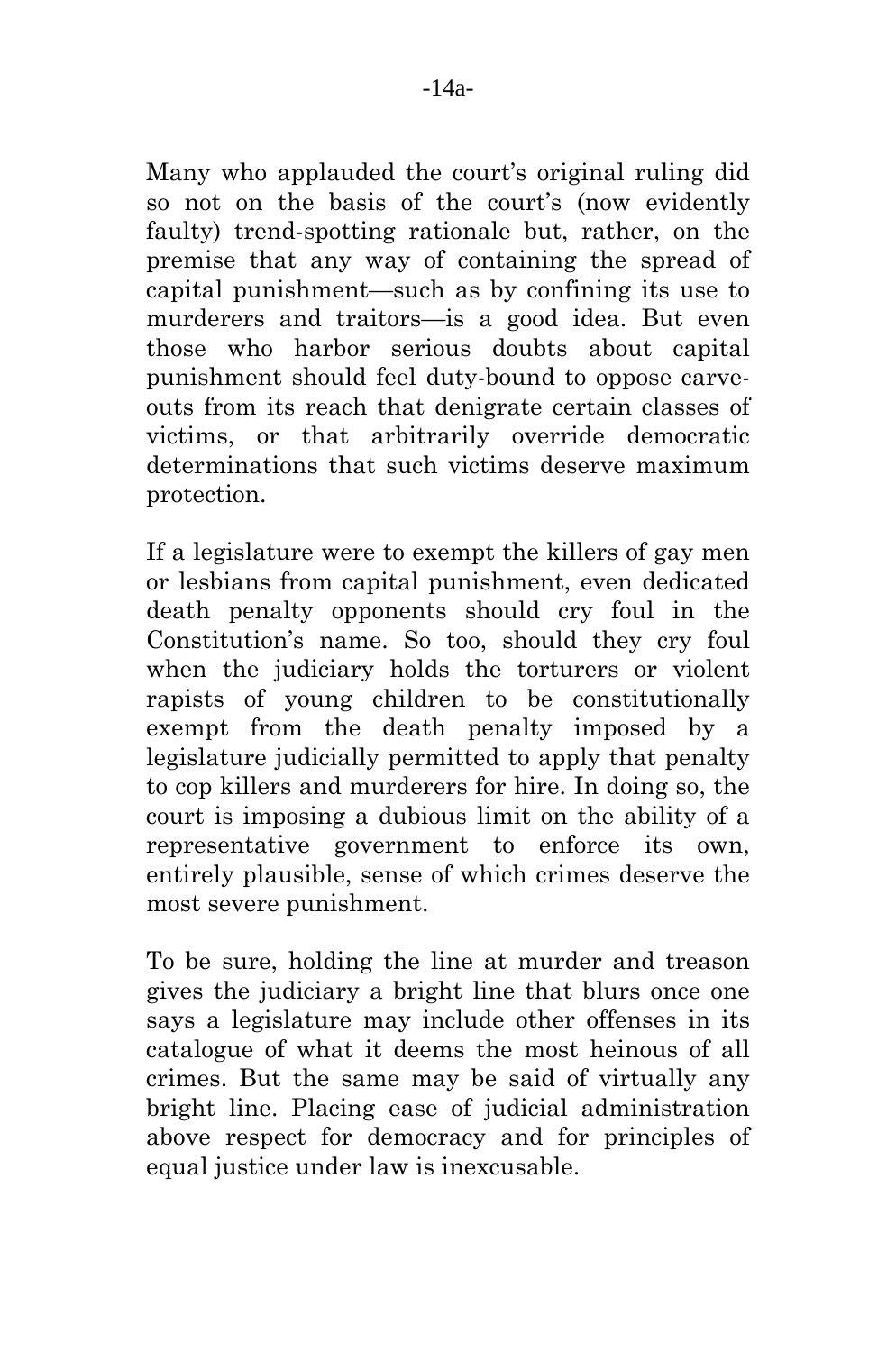Many who applauded the court's original ruling did so not on the basis of the court's (now evidently faulty) trend-spotting rationale but, rather, on the premise that any way of containing the spread of capital punishment—such as by confining its use to murderers and traitors—is a good idea. But even those who harbor serious doubts about capital punishment should feel duty-bound to oppose carveouts from its reach that denigrate certain classes of victims, or that arbitrarily override democratic determinations that such victims deserve maximum protection.

If a legislature were to exempt the killers of gay men or lesbians from capital punishment, even dedicated death penalty opponents should cry foul in the Constitution's name. So too, should they cry foul when the judiciary holds the torturers or violent rapists of young children to be constitutionally exempt from the death penalty imposed by a legislature judicially permitted to apply that penalty to cop killers and murderers for hire. In doing so, the court is imposing a dubious limit on the ability of a representative government to enforce its own, entirely plausible, sense of which crimes deserve the most severe punishment.

To be sure, holding the line at murder and treason gives the judiciary a bright line that blurs once one says a legislature may include other offenses in its catalogue of what it deems the most heinous of all crimes. But the same may be said of virtually any bright line. Placing ease of judicial administration above respect for democracy and for principles of equal justice under law is inexcusable.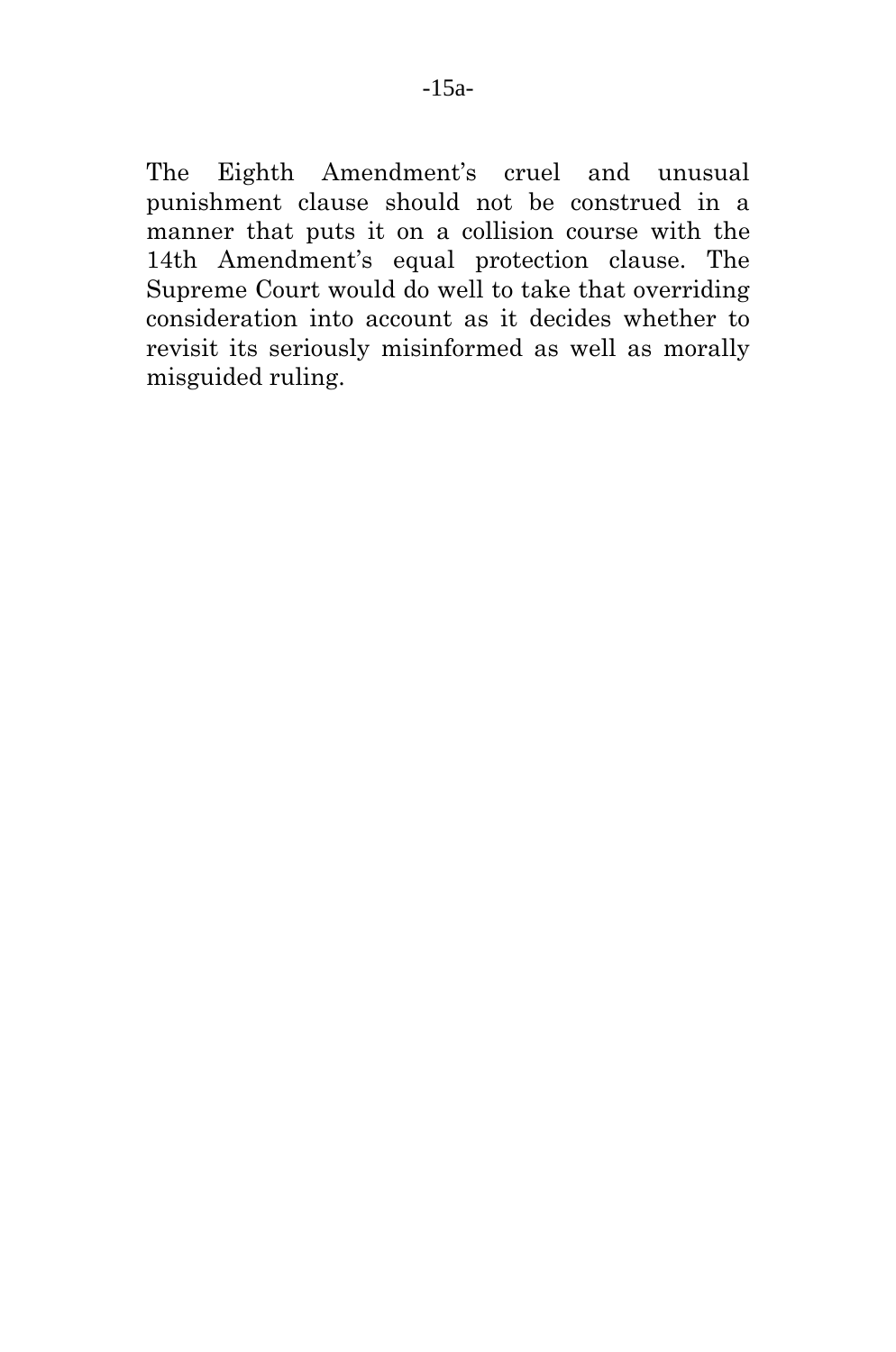The Eighth Amendment's cruel and unusual punishment clause should not be construed in a manner that puts it on a collision course with the 14th Amendment's equal protection clause. The Supreme Court would do well to take that overriding consideration into account as it decides whether to revisit its seriously misinformed as well as morally misguided ruling.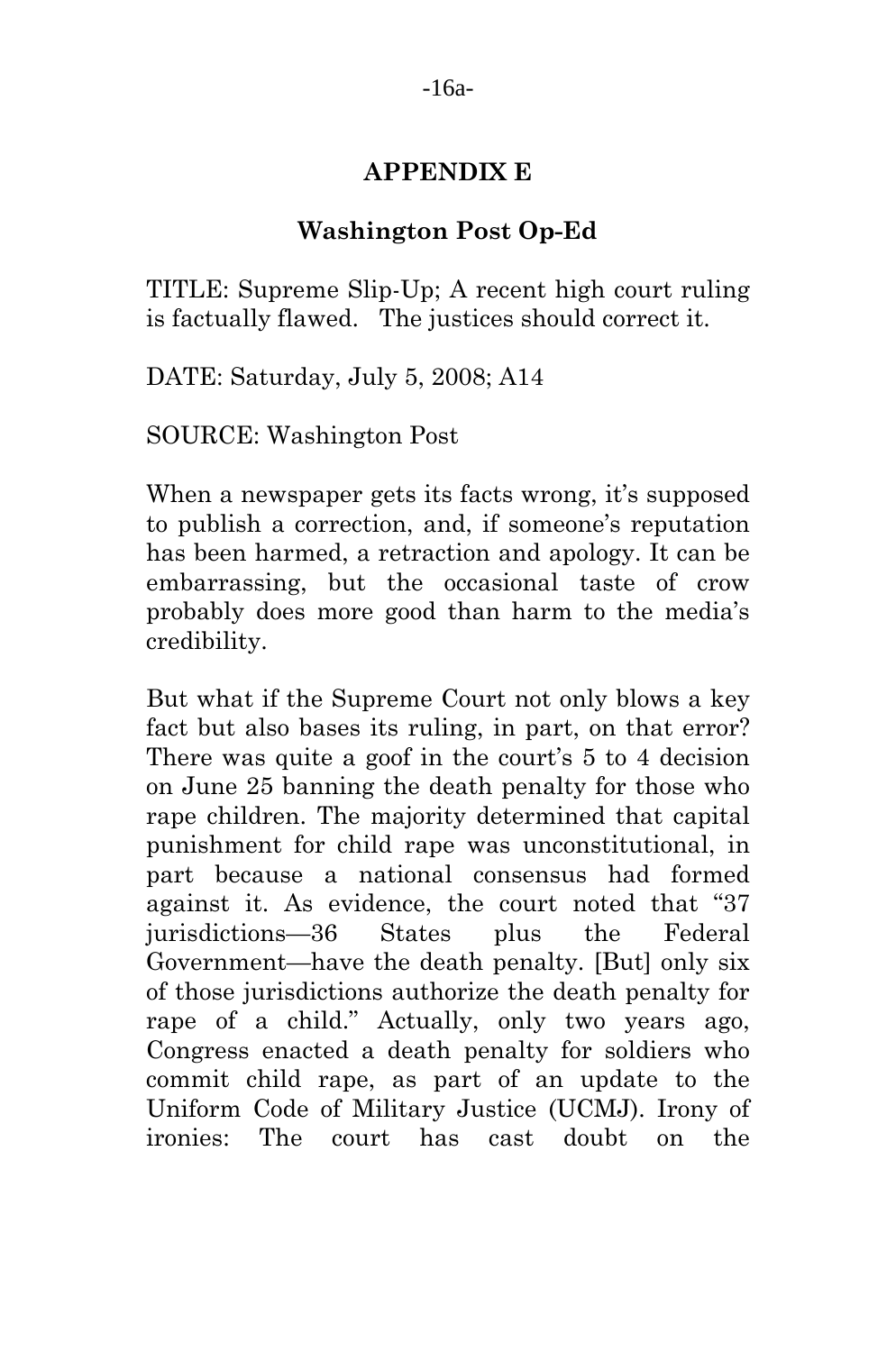### **APPENDIX E**

### **Washington Post Op-Ed**

TITLE: Supreme Slip-Up; A recent high court ruling is factually flawed. The justices should correct it.

DATE: Saturday, July 5, 2008; A14

SOURCE: Washington Post

When a newspaper gets its facts wrong, it's supposed to publish a correction, and, if someone's reputation has been harmed, a retraction and apology. It can be embarrassing, but the occasional taste of crow probably does more good than harm to the media's credibility.

But what if the Supreme Court not only blows a key fact but also bases its ruling, in part, on that error? There was quite a goof in the court's 5 to 4 decision on June 25 banning the death penalty for those who rape children. The majority determined that capital punishment for child rape was unconstitutional, in part because a national consensus had formed against it. As evidence, the court noted that "37 jurisdictions—36 States plus the Federal Government—have the death penalty. [But] only six of those jurisdictions authorize the death penalty for rape of a child." Actually, only two years ago, Congress enacted a death penalty for soldiers who commit child rape, as part of an update to the Uniform Code of Military Justice (UCMJ). Irony of ironies: The court has cast doubt on the